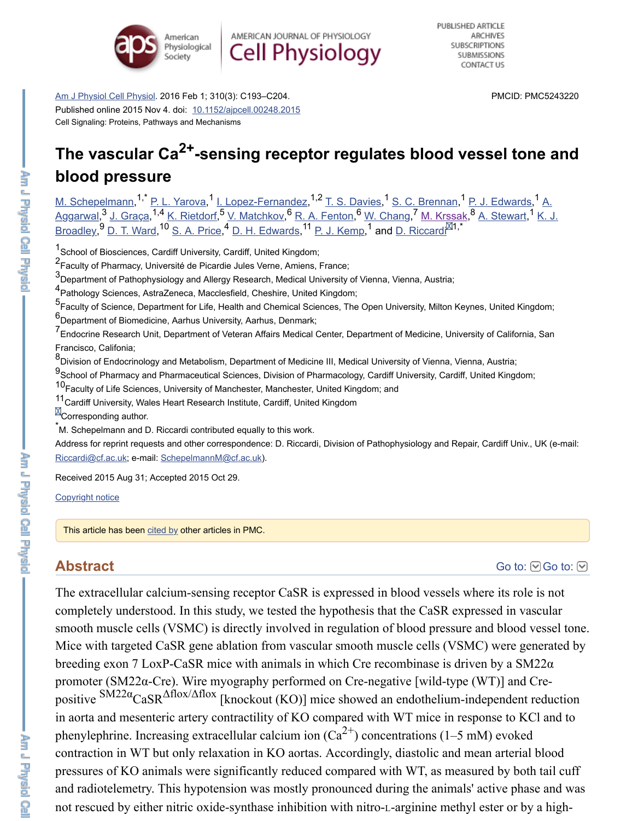

AMERICAN JOURNAL OF PHYSIOLOGY **Cell Physiology** 

[Am J Physiol Cell Physiol.](https://www.ncbi.nlm.nih.gov/pmc/articles/PMC5243220/#) 2016 Feb 1; 310(3): C193–C204. Published online 2015 Nov 4. doi: [10.1152/ajpcell.00248.2015](https://dx.doi.org/10.1152%2Fajpcell.00248.2015) Cell Signaling: Proteins, Pathways and Mechanisms

PMCID: PMC5243220

#### The vascular Ca<sup>2+</sup>-sensing receptor regulates blood vessel tone and **blood pressure** [M. Schepelmann](https://www.ncbi.nlm.nih.gov/pubmed/?term=Schepelmann%20M%5BAuthor%5D&cauthor=true&cauthor_uid=26538090), <sup>I,</sup> [P. L. Yarova,](https://www.ncbi.nlm.nih.gov/pubmed/?term=Yarova%20PL%5BAuthor%5D&cauthor=true&cauthor_uid=26538090) <sup>I</sup>. Lopez-Fernandez[,](https://www.ncbi.nlm.nih.gov/pubmed/?term=Aggarwal%20A%5BAuthor%5D&cauthor=true&cauthor_uid=26538090) <sup>I, Z</sup> [T. S. Davies,](https://www.ncbi.nlm.nih.gov/pubmed/?term=Davies%20TS%5BAuthor%5D&cauthor=true&cauthor_uid=26538090) <sup>I</sup> [S. C. Brennan,](https://www.ncbi.nlm.nih.gov/pubmed/?term=Brennan%20SC%5BAuthor%5D&cauthor=true&cauthor_uid=26538090) <sup>I</sup> [P. J. Edwards,](https://www.ncbi.nlm.nih.gov/pubmed/?term=Edwards%20PJ%5BAuthor%5D&cauthor=true&cauthor_uid=26538090) <sup>I</sup> A. <u>Aggarwal, S[J. Graça](https://www.ncbi.nlm.nih.gov/pubmed/?term=Gra%26%23x000e7%3Ba%20J%5BAuthor%5D&cauthor=true&cauthor_uid=26538090), 't [K. Rietdorf](https://www.ncbi.nlm.nih.gov/pubmed/?term=Rietdorf%20K%5BAuthor%5D&cauthor=true&cauthor_uid=26538090), S[V. Matchkov](https://www.ncbi.nlm.nih.gov/pubmed/?term=Matchkov%20V%5BAuthor%5D&cauthor=true&cauthor_uid=26538090), S[R. A. Fenton](https://www.ncbi.nlm.nih.gov/pubmed/?term=Fenton%20RA%5BAuthor%5D&cauthor=true&cauthor_uid=26538090), S[W. Chang,](https://www.ncbi.nlm.nih.gov/pubmed/?term=Chang%20W%5BAuthor%5D&cauthor=true&cauthor_uid=26538090) [M. Krssak,](https://www.ncbi.nlm.nih.gov/pubmed/?term=Krssak%20M%5BAuthor%5D&cauthor=true&cauthor_uid=26538090) S[A. Stewart](https://www.ncbi.nlm.nih.gov/pubmed/?term=Stewart%20A%5BAuthor%5D&cauthor=true&cauthor_uid=26538090), 'K. J.</u> Broadley, [D. T. Ward](https://www.ncbi.nlm.nih.gov/pubmed/?term=Ward%20DT%5BAuthor%5D&cauthor=true&cauthor_uid=26538090), '<sup>o</sup> [S. A. Price](https://www.ncbi.nlm.nih.gov/pubmed/?term=Price%20SA%5BAuthor%5D&cauthor=true&cauthor_uid=26538090), <sup>4</sup> [D. H. Edwards](https://www.ncbi.nlm.nih.gov/pubmed/?term=Edwards%20DH%5BAuthor%5D&cauthor=true&cauthor_uid=26538090), ' P. J. Kemp, ' and D. Riccardi  $3$  1, Graca  $1.4$  K, Dietdorf  $5$  V, Matchkov  $6$  D, A, Eepton  $6$  W, Chang  $7$  M, Kreeak  $8$  A, Stewart 1  $9 \text{ D}$  T Ward  $10 \text{ C}$  A Price  $4 \text{ D}$  H Edwards  $11 \text{ D}$  L Kemp  $1$  and D Piccardi $14$ ,\*

<sup>1</sup> School of Biosciences, Cardiff University, Cardiff, United Kingdom;

<sup>2</sup> Faculty of Pharmacy, Université de Picardie Jules Verne, Amiens, France;

3<br>Department of Pathophysiology and Allergy Research, Medical University of Vienna, Vienna, Austria;

4<br>Pathology Sciences, AstraZeneca, Macclesfield, Cheshire, United Kingdom;

5<br>Faculty of Science, Department for Life, Health and Chemical Sciences, The Open University, Milton Keynes, United Kingdom; 6<br>**6** Department of Biomedicine, Aarhus University, Aarhus, Denmark;

 $1$ ,  $\overline{D}$  |  $\overline{V}$   $\overline{C}$   $\overline{C}$  1,  $\overline{C}$   $\overline{D}$   $\overline{D}$   $\overline{D}$   $\overline{D}$   $\overline{D}$   $\overline{D}$   $\overline{D}$   $\overline{D}$   $\overline{D}$   $\overline{D}$   $\overline{D}$   $\overline{D}$   $\overline{D}$   $\overline{D}$   $\overline{D}$   $\overline{D}$   $\overline{D}$   $\overline{D}$   $\overline$ 

7<br>Endocrine Research Unit, Department of Veteran Affairs Medical Center, Department of Medicine, University of California, San Francisco, Califonia;

8<br><sup>8</sup>Division of Endocrinology and Metabolism, Department of Medicine III, Medical University of Vienna, Vienna, Austria;

9<br>School of Pharmacy and Pharmaceutical Sciences, Division of Pharmacology, Cardiff University, Cardiff, United Kingdom;

10 Faculty of Life Sciences, University of Manchester, Manchester, United Kingdom; and

11 Cardiff University, Wales Heart Research Institute, Cardiff, United Kingdom

**M**Corresponding author.

\*M. Schepelmann and D. Riccardi contributed equally to this work.

Address for reprint requests and other correspondence: D. Riccardi, Division of Pathophysiology and Repair, Cardiff Univ., UK (e-mail: [Riccardi@cf.ac.uk;](mailto:dev@null) e-mail: [SchepelmannM@cf.ac.uk](mailto:dev@null)).

Received 2015 Aug 31; Accepted 2015 Oct 29.

[Copyright notice](https://www.ncbi.nlm.nih.gov/pmc/about/copyright/)

This article has been [cited by](https://www.ncbi.nlm.nih.gov/pmc/articles/PMC5243220/citedby/) other articles in PMC.

### **Abstract**

[Go to:](https://www.ncbi.nlm.nih.gov/pmc/articles/PMC5243220/#)  $\bigcirc$  Go to:  $\bigcirc$ 

The extracellular calcium-sensing receptor CaSR is expressed in blood vessels where its role is not completely understood. In this study, we tested the hypothesis that the CaSR expressed in vascular smooth muscle cells (VSMC) is directly involved in regulation of blood pressure and blood vessel tone. Mice with targeted CaSR gene ablation from vascular smooth muscle cells (VSMC) were generated by breeding exon 7 LoxP-CaSR mice with animals in which Cre recombinase is driven by a  $SM22\alpha$ promoter (SM22α-Cre). Wire myography performed on Cre-negative [wild-type (WT)] and Crepositive  $\frac{SM22\alpha}{CaSR}$   $\triangle$ flox/ $\triangle$ flox [knockout (KO)] mice showed an endothelium-independent reduction in aorta and mesenteric artery contractility of KO compared with WT mice in response to KCl and to phenylephrine. Increasing extracellular calcium ion  $(Ca^{2+})$  concentrations (1–5 mM) evoked contraction in WT but only relaxation in KO aortas. Accordingly, diastolic and mean arterial blood pressures of KO animals were significantly reduced compared with WT, as measured by both tail cuff and radiotelemetry. This hypotension was mostly pronounced during the animals' active phase and was not rescued by either nitric oxide-synthase inhibition with nitro-L-arginine methyl ester or by a high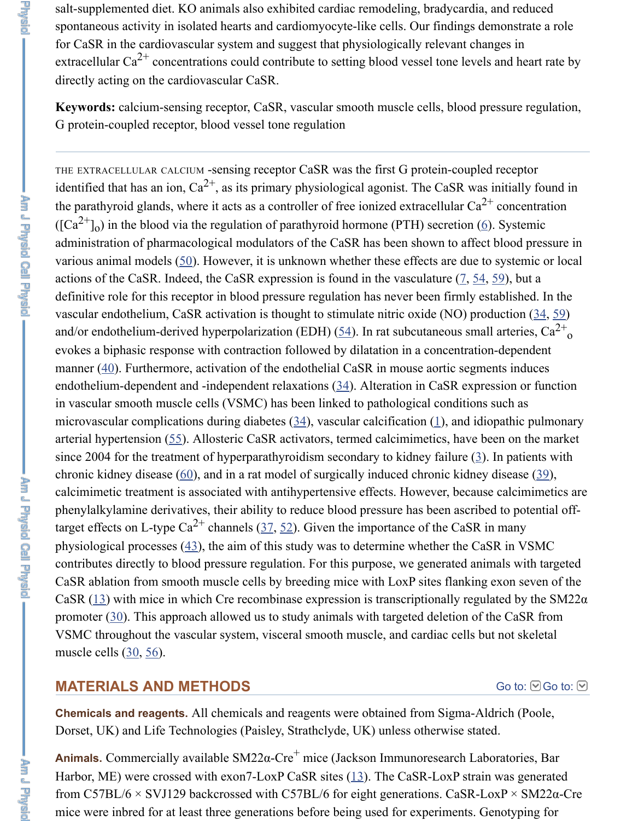salt-supplemented diet. KO animals also exhibited cardiac remodeling, bradycardia, and reduced spontaneous activity in isolated hearts and cardiomyocyte-like cells. Our findings demonstrate a role for CaSR in the cardiovascular system and suggest that physiologically relevant changes in extracellular Ca<sup>2+</sup> concentrations could contribute to setting blood vessel tone levels and heart rate by directly acting on the cardiovascular CaSR.

**Keywords:** calcium-sensing receptor, CaSR, vascular smooth muscle cells, blood pressure regulation, G protein-coupled receptor, blood vessel tone regulation

THE EXTRACELLULAR CALCIUM -sensing receptor CaSR was the first G protein-coupled receptor identified that has an ion,  $Ca^{2+}$ , as its primary physiological agonist. The CaSR was initially found in the parathyroid glands, where it acts as a controller of free ionized extracellular  $Ca^{2+}$  concentration  $(\sqrt{C}a^{2+1}$ <sub>0</sub>) in the blood via the regulation of parathyroid hormone (PTH) secretion [\(6](https://www.ncbi.nlm.nih.gov/pmc/articles/PMC5243220/#B6)). Systemic administration of pharmacological modulators of the CaSR has been shown to affect blood pressure in various animal models ([50\)](https://www.ncbi.nlm.nih.gov/pmc/articles/PMC5243220/#B50). However, it is unknown whether these effects are due to systemic or local actions of the CaSR. Indeed, the CaSR expression is found in the vasculature  $(7, 54, 59)$  $(7, 54, 59)$  $(7, 54, 59)$  $(7, 54, 59)$  $(7, 54, 59)$  $(7, 54, 59)$ , but a definitive role for this receptor in blood pressure regulation has never been firmly established. In the vascular endothelium, CaSR activation is thought to stimulate nitric oxide (NO) production  $(34, 59)$  $(34, 59)$  $(34, 59)$  $(34, 59)$ and/or endothelium-derived hyperpolarization (EDH) ( $\frac{54}{1}$ ). In rat subcutaneous small arteries, Ca<sup>2+</sup> evokes a biphasic response with contraction followed by dilatation in a concentration-dependent manner [\(40](https://www.ncbi.nlm.nih.gov/pmc/articles/PMC5243220/#B40)). Furthermore, activation of the endothelial CaSR in mouse aortic segments induces endothelium-dependent and -independent relaxations ([34\)](https://www.ncbi.nlm.nih.gov/pmc/articles/PMC5243220/#B34). Alteration in CaSR expression or function in vascular smooth muscle cells (VSMC) has been linked to pathological conditions such as microvascular complications during diabetes ([34\)](https://www.ncbi.nlm.nih.gov/pmc/articles/PMC5243220/#B34), vascular calcification ([1\)](https://www.ncbi.nlm.nih.gov/pmc/articles/PMC5243220/#B1), and idiopathic pulmonary arterial hypertension [\(55](https://www.ncbi.nlm.nih.gov/pmc/articles/PMC5243220/#B55)). Allosteric CaSR activators, termed calcimimetics, have been on the market since 2004 for the treatment of hyperparathyroidism secondary to kidney failure  $(3)$  $(3)$ . In patients with chronic kidney disease  $(60)$  $(60)$ , and in a rat model of surgically induced chronic kidney disease  $(39)$  $(39)$ , calcimimetic treatment is associated with antihypertensive effects. However, because calcimimetics are phenylalkylamine derivatives, their ability to reduce blood pressure has been ascribed to potential off-target effects on L-type Ca<sup>2+</sup> channels ([37,](https://www.ncbi.nlm.nih.gov/pmc/articles/PMC5243220/#B37) [52\)](https://www.ncbi.nlm.nih.gov/pmc/articles/PMC5243220/#B52). Given the importance of the CaSR in many physiological processes  $(43)$  $(43)$ , the aim of this study was to determine whether the CaSR in VSMC contributes directly to blood pressure regulation. For this purpose, we generated animals with targeted CaSR ablation from smooth muscle cells by breeding mice with LoxP sites flanking exon seven of the CaSR [\(13](https://www.ncbi.nlm.nih.gov/pmc/articles/PMC5243220/#B13)) with mice in which Cre recombinase expression is transcriptionally regulated by the SM22 $\alpha$ promoter ([30\)](https://www.ncbi.nlm.nih.gov/pmc/articles/PMC5243220/#B30). This approach allowed us to study animals with targeted deletion of the CaSR from VSMC throughout the vascular system, visceral smooth muscle, and cardiac cells but not skeletal muscle cells ([30,](https://www.ncbi.nlm.nih.gov/pmc/articles/PMC5243220/#B30) [56\)](https://www.ncbi.nlm.nih.gov/pmc/articles/PMC5243220/#B56). o o

### **MATERIALS AND METHODS**

#### [Go to:](https://www.ncbi.nlm.nih.gov/pmc/articles/PMC5243220/#) **©** Go to: **⊙**

**Chemicals and reagents.** All chemicals and reagents were obtained from Sigma-Aldrich (Poole, Dorset, UK) and Life Technologies (Paisley, Strathclyde, UK) unless otherwise stated.

**Animals.** Commercially available SM22α-Cre<sup>+</sup> mice (Jackson Immunoresearch Laboratories, Bar Harbor, ME) were crossed with exon7-LoxP CaSR sites ([13\)](https://www.ncbi.nlm.nih.gov/pmc/articles/PMC5243220/#B13). The CaSR-LoxP strain was generated from C57BL/6 × SVJ129 backcrossed with C57BL/6 for eight generations. CaSR-LoxP × SM22α-Cre mice were inbred for at least three generations before being used for experiments. Genotyping for

**Preside**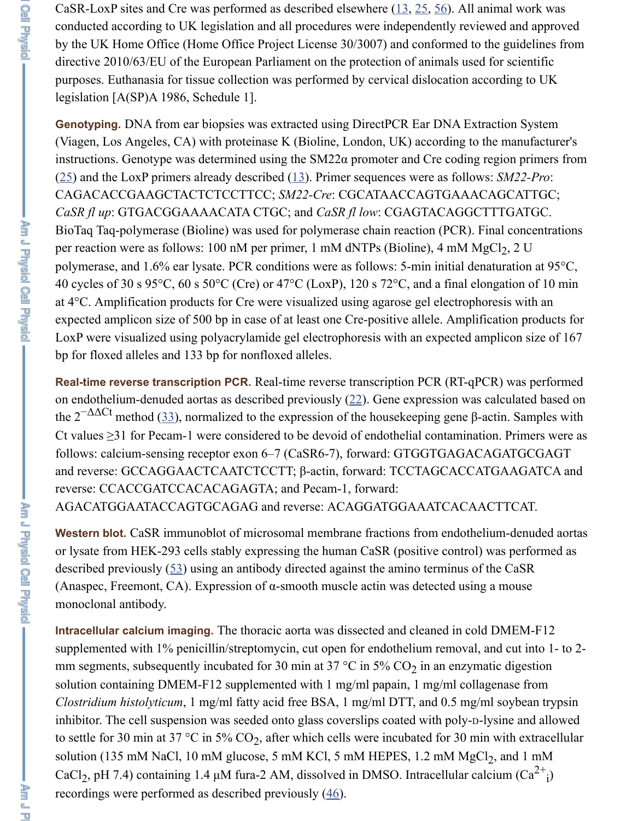CaSR-LoxP sites and Cre was performed as described elsewhere  $(13, 25, 56)$  $(13, 25, 56)$  $(13, 25, 56)$  $(13, 25, 56)$  $(13, 25, 56)$  $(13, 25, 56)$ . All animal work was conducted according to UK legislation and all procedures were independently reviewed and approved by the UK Home Office (Home Office Project License 30/3007) and conformed to the guidelines from directive 2010/63/EU of the European Parliament on the protection of animals used for scientific purposes. Euthanasia for tissue collection was performed by cervical dislocation according to UK legislation [A(SP)A 1986, Schedule 1].

**Genotyping.** DNA from ear biopsies was extracted using DirectPCR Ear DNA Extraction System (Viagen, Los Angeles, CA) with proteinase K (Bioline, London, UK) according to the manufacturer's instructions. Genotype was determined using the SM22α promoter and Cre coding region primers from [\(25](https://www.ncbi.nlm.nih.gov/pmc/articles/PMC5243220/#B25)) and the LoxP primers already described ([13\)](https://www.ncbi.nlm.nih.gov/pmc/articles/PMC5243220/#B13). Primer sequences were as follows: *SM22-Pro*: CAGACACCGAAGCTACTCTCCTTCC; *SM22-Cre*: CGCATAACCAGTGAAACAGCATTGC; *CaSR fl up*: GTGACGGAAAACATA CTGC; and *CaSR fl low*: CGAGTACAGGCTTTGATGC. BioTaq Taq-polymerase (Bioline) was used for polymerase chain reaction (PCR). Final concentrations per reaction were as follows: 100 nM per primer, 1 mM dNTPs (Bioline), 4 mM MgCl<sub>2</sub>, 2 U polymerase, and 1.6% ear lysate. PCR conditions were as follows: 5-min initial denaturation at 95°C, 40 cycles of 30 s 95°C, 60 s 50°C (Cre) or 47°C (LoxP), 120 s 72°C, and a final elongation of 10 min at 4°C. Amplification products for Cre were visualized using agarose gel electrophoresis with an expected amplicon size of 500 bp in case of at least one Cre-positive allele. Amplification products for LoxP were visualized using polyacrylamide gel electrophoresis with an expected amplicon size of 167 bp for floxed alleles and 133 bp for nonfloxed alleles.

**Real-time reverse transcription PCR.** Real-time reverse transcription PCR (RT-qPCR) was performed on endothelium-denuded aortas as described previously  $(22)$  $(22)$  $(22)$ . Gene expression was calculated based on the  $2^{-\Delta\Delta Ct}$  method ([33\)](https://www.ncbi.nlm.nih.gov/pmc/articles/PMC5243220/#B33), normalized to the expression of the housekeeping gene β-actin. Samples with Ct values ≥31 for Pecam-1 were considered to be devoid of endothelial contamination. Primers were as follows: calcium-sensing receptor exon 6–7 (CaSR6-7), forward: GTGGTGAGACAGATGCGAGT and reverse: GCCAGGAACTCAATCTCCTT; β-actin, forward: TCCTAGCACCATGAAGATCA and reverse: CCACCGATCCACACAGAGTA; and Pecam-1, forward: AGACATGGAATACCAGTGCAGAG and reverse: ACAGGATGGAAATCACAACTTCAT.

**Western blot.** CaSR immunoblot of microsomal membrane fractions from endothelium-denuded aortas or lysate from HEK-293 cells stably expressing the human CaSR (positive control) was performed as described previously ([53\)](https://www.ncbi.nlm.nih.gov/pmc/articles/PMC5243220/#B53) using an antibody directed against the amino terminus of the CaSR (Anaspec, Freemont, CA). Expression of  $\alpha$ -smooth muscle actin was detected using a mouse monoclonal antibody.

**Intracellular calcium imaging.** The thoracic aorta was dissected and cleaned in cold DMEM-F12 supplemented with 1% penicillin/streptomycin, cut open for endothelium removal, and cut into 1- to 2 mm segments, subsequently incubated for 30 min at 37  $\degree$ C in 5% CO<sub>2</sub> in an enzymatic digestion solution containing DMEM-F12 supplemented with 1 mg/ml papain, 1 mg/ml collagenase from *Clostridium histolyticum*, 1 mg/ml fatty acid free BSA, 1 mg/ml DTT, and 0.5 mg/ml soybean trypsin inhibitor. The cell suspension was seeded onto glass coverslips coated with poly-D-lysine and allowed to settle for 30 min at 37 °C in 5%  $CO_2$ , after which cells were incubated for 30 min with extracellular solution (135 mM NaCl, 10 mM glucose, 5 mM KCl, 5 mM HEPES, 1.2 mM  $MgCl<sub>2</sub>$ , and 1 mM CaCl<sub>2</sub>, pH 7.4) containing 1.4 µM fura-2 AM, dissolved in DMSO. Intracellular calcium  $(Ca^{2+})$ recordings were performed as described previously ([46\)](https://www.ncbi.nlm.nih.gov/pmc/articles/PMC5243220/#B46). 2+ i

**INSURFACE**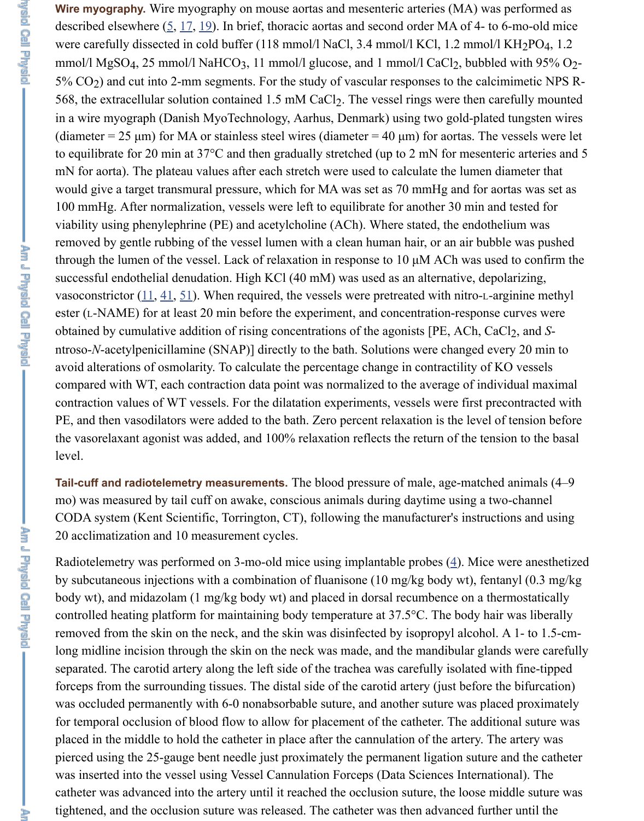Wire myography. Wire myography on mouse aortas and mesenteric arteries (MA) was performed as described elsewhere  $(5, 17, 19)$  $(5, 17, 19)$  $(5, 17, 19)$  $(5, 17, 19)$  $(5, 17, 19)$  $(5, 17, 19)$ . In brief, thoracic aortas and second order MA of 4- to 6-mo-old mice were carefully dissected in cold buffer  $(118 \text{ mmol/l NaCl}, 3.4 \text{ mmol/l KCl}, 1.2 \text{ mmol/l KH}_2\text{PO}_4, 1.2$ mmol/l MgSO<sub>4</sub>, 25 mmol/l NaHCO<sub>3</sub>, 11 mmol/l glucose, and 1 mmol/l CaCl<sub>2</sub>, bubbled with 95% O<sub>2</sub>- $5\%$  CO<sub>2</sub>) and cut into 2-mm segments. For the study of vascular responses to the calcimimetic NPS R-568, the extracellular solution contained  $1.5 \text{ mM } CaCl_2$ . The vessel rings were then carefully mounted in a wire myograph (Danish MyoTechnology, Aarhus, Denmark) using two gold-plated tungsten wires (diameter = 25  $\mu$ m) for MA or stainless steel wires (diameter = 40  $\mu$ m) for aortas. The vessels were let to equilibrate for 20 min at 37°C and then gradually stretched (up to 2 mN for mesenteric arteries and 5 mN for aorta). The plateau values after each stretch were used to calculate the lumen diameter that would give a target transmural pressure, which for MA was set as 70 mmHg and for aortas was set as 100 mmHg. After normalization, vessels were left to equilibrate for another 30 min and tested for viability using phenylephrine (PE) and acetylcholine (ACh). Where stated, the endothelium was removed by gentle rubbing of the vessel lumen with a clean human hair, or an air bubble was pushed through the lumen of the vessel. Lack of relaxation in response to 10 µM ACh was used to confirm the successful endothelial denudation. High KCl (40 mM) was used as an alternative, depolarizing, vasoconstrictor  $(11, 41, 51)$  $(11, 41, 51)$  $(11, 41, 51)$  $(11, 41, 51)$  $(11, 41, 51)$  $(11, 41, 51)$  $(11, 41, 51)$ . When required, the vessels were pretreated with nitro-L-arginine methyl ester (L-NAME) for at least 20 min before the experiment, and concentration-response curves were obtained by cumulative addition of rising concentrations of the agonists [PE, ACh, CaCl<sub>2</sub>, and Sntroso-*N*-acetylpenicillamine (SNAP)] directly to the bath. Solutions were changed every 20 min to avoid alterations of osmolarity. To calculate the percentage change in contractility of KO vessels compared with WT, each contraction data point was normalized to the average of individual maximal contraction values of WT vessels. For the dilatation experiments, vessels were first precontracted with PE, and then vasodilators were added to the bath. Zero percent relaxation is the level of tension before the vasorelaxant agonist was added, and 100% relaxation reflects the return of the tension to the basal level.

Tail-cuff and radiotelemetry measurements. The blood pressure of male, age-matched animals (4–9 mo) was measured by tail cuff on awake, conscious animals during daytime using a two-channel CODA system (Kent Scientific, Torrington, CT), following the manufacturer's instructions and using 20 acclimatization and 10 measurement cycles.

Radiotelemetry was performed on 3-mo-old mice using implantable probes  $(4)$  $(4)$ . Mice were anesthetized by subcutaneous injections with a combination of fluanisone (10 mg/kg body wt), fentanyl (0.3 mg/kg body wt), and midazolam (1 mg/kg body wt) and placed in dorsal recumbence on a thermostatically controlled heating platform for maintaining body temperature at 37.5°C. The body hair was liberally removed from the skin on the neck, and the skin was disinfected by isopropyl alcohol. A 1- to 1.5-cmlong midline incision through the skin on the neck was made, and the mandibular glands were carefully separated. The carotid artery along the left side of the trachea was carefully isolated with fine-tipped forceps from the surrounding tissues. The distal side of the carotid artery (just before the bifurcation) was occluded permanently with 6-0 nonabsorbable suture, and another suture was placed proximately for temporal occlusion of blood flow to allow for placement of the catheter. The additional suture was placed in the middle to hold the catheter in place after the cannulation of the artery. The artery was pierced using the 25-gauge bent needle just proximately the permanent ligation suture and the catheter was inserted into the vessel using Vessel Cannulation Forceps (Data Sciences International). The catheter was advanced into the artery until it reached the occlusion suture, the loose middle suture was tightened, and the occlusion suture was released. The catheter was then advanced further until the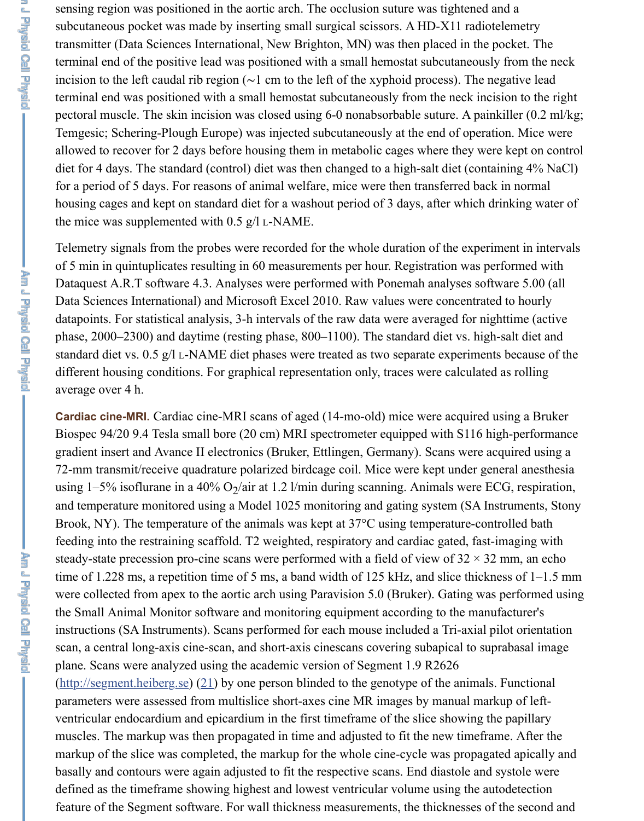sensing region was positioned in the aortic arch. The occlusion suture was tightened and a subcutaneous pocket was made by inserting small surgical scissors. A HD-X11 radiotelemetry transmitter (Data Sciences International, New Brighton, MN) was then placed in the pocket. The terminal end of the positive lead was positioned with a small hemostat subcutaneously from the neck incision to the left caudal rib region (∼1 cm to the left of the xyphoid process). The negative lead terminal end was positioned with a small hemostat subcutaneously from the neck incision to the right pectoral muscle. The skin incision was closed using 6-0 nonabsorbable suture. A painkiller (0.2 ml/kg; Temgesic; Schering-Plough Europe) was injected subcutaneously at the end of operation. Mice were allowed to recover for 2 days before housing them in metabolic cages where they were kept on control diet for 4 days. The standard (control) diet was then changed to a high-salt diet (containing 4% NaCl) for a period of 5 days. For reasons of animal welfare, mice were then transferred back in normal housing cages and kept on standard diet for a washout period of 3 days, after which drinking water of

the mice was supplemented with 0.5 g/l L-NAME.

Telemetry signals from the probes were recorded for the whole duration of the experiment in intervals of 5 min in quintuplicates resulting in 60 measurements per hour. Registration was performed with Dataquest A.R.T software 4.3. Analyses were performed with Ponemah analyses software 5.00 (all Data Sciences International) and Microsoft Excel 2010. Raw values were concentrated to hourly datapoints. For statistical analysis, 3-h intervals of the raw data were averaged for nighttime (active phase, 2000–2300) and daytime (resting phase, 800–1100). The standard diet vs. high-salt diet and standard diet vs. 0.5 g/l L-NAME diet phases were treated as two separate experiments because of the different housing conditions. For graphical representation only, traces were calculated as rolling average over 4 h.

**Cardiac cine-MRI.** Cardiac cine-MRI scans of aged (14-mo-old) mice were acquired using a Bruker Biospec 94/20 9.4 Tesla small bore (20 cm) MRI spectrometer equipped with S116 high-performance gradient insert and Avance II electronics (Bruker, Ettlingen, Germany). Scans were acquired using a 72-mm transmit/receive quadrature polarized birdcage coil. Mice were kept under general anesthesia using  $1-5\%$  isoflurane in a 40% O<sub>2</sub>/air at 1.2 l/min during scanning. Animals were ECG, respiration, and temperature monitored using a Model 1025 monitoring and gating system (SA Instruments, Stony Brook, NY). The temperature of the animals was kept at 37<sup>o</sup>C using temperature-controlled bath feeding into the restraining scaffold. T2 weighted, respiratory and cardiac gated, fast-imaging with steady-state precession pro-cine scans were performed with a field of view of  $32 \times 32$  mm, an echo time of 1.228 ms, a repetition time of 5 ms, a band width of 125 kHz, and slice thickness of 1–1.5 mm were collected from apex to the aortic arch using Paravision 5.0 (Bruker). Gating was performed using the Small Animal Monitor software and monitoring equipment according to the manufacturer's instructions (SA Instruments). Scans performed for each mouse included a Tri-axial pilot orientation scan, a central long-axis cine-scan, and short-axis cinescans covering subapical to suprabasal image plane. Scans were analyzed using the academic version of Segment 1.9 R2626

[\(http://segment.heiberg.se\)](http://segment.heiberg.se/) [\(21](https://www.ncbi.nlm.nih.gov/pmc/articles/PMC5243220/#B21)) by one person blinded to the genotype of the animals. Functional parameters were assessed from multislice short-axes cine MR images by manual markup of leftventricular endocardium and epicardium in the first timeframe of the slice showing the papillary muscles. The markup was then propagated in time and adjusted to fit the new timeframe. After the markup of the slice was completed, the markup for the whole cine-cycle was propagated apically and basally and contours were again adjusted to fit the respective scans. End diastole and systole were defined as the timeframe showing highest and lowest ventricular volume using the autodetection feature of the Segment software. For wall thickness measurements, the thicknesses of the second and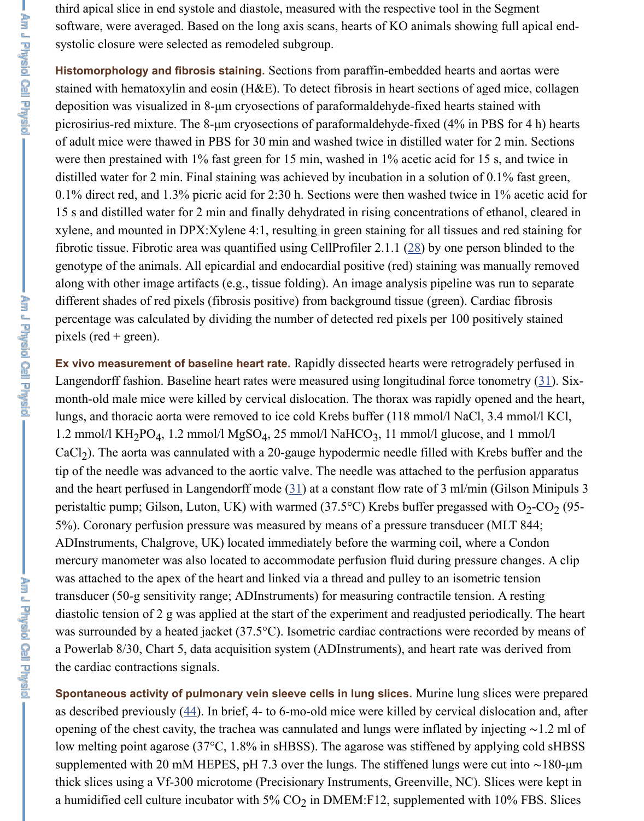third apical slice in end systole and diastole, measured with the respective tool in the Segment software, were averaged. Based on the long axis scans, hearts of KO animals showing full apical endsystolic closure were selected as remodeled subgroup.

**Histomorphology and fibrosis staining.** Sections from paraffin-embedded hearts and aortas were stained with hematoxylin and eosin (H&E). To detect fibrosis in heart sections of aged mice, collagen deposition was visualized in 8-µm cryosections of paraformaldehyde-fixed hearts stained with picrosirius-red mixture. The 8-µm cryosections of paraformaldehyde-fixed (4% in PBS for 4 h) hearts of adult mice were thawed in PBS for 30 min and washed twice in distilled water for 2 min. Sections were then prestained with 1% fast green for 15 min, washed in 1% acetic acid for 15 s, and twice in distilled water for 2 min. Final staining was achieved by incubation in a solution of 0.1% fast green, 0.1% direct red, and 1.3% picric acid for 2:30 h. Sections were then washed twice in 1% acetic acid for 15 s and distilled water for 2 min and finally dehydrated in rising concentrations of ethanol, cleared in xylene, and mounted in DPX:Xylene 4:1, resulting in green staining for all tissues and red staining for fibrotic tissue. Fibrotic area was quantified using CellProfiler 2.1.1 ([28\)](https://www.ncbi.nlm.nih.gov/pmc/articles/PMC5243220/#B28) by one person blinded to the genotype of the animals. All epicardial and endocardial positive (red) staining was manually removed along with other image artifacts (e.g., tissue folding). An image analysis pipeline was run to separate different shades of red pixels (fibrosis positive) from background tissue (green). Cardiac fibrosis percentage was calculated by dividing the number of detected red pixels per 100 positively stained pixels (red + green).

Ex vivo measurement of baseline heart rate. Rapidly dissected hearts were retrogradely perfused in Langendorff fashion. Baseline heart rates were measured using longitudinal force tonometry [\(31](https://www.ncbi.nlm.nih.gov/pmc/articles/PMC5243220/#B31)). Sixmonth-old male mice were killed by cervical dislocation. The thorax was rapidly opened and the heart, lungs, and thoracic aorta were removed to ice cold Krebs buffer (118 mmol/l NaCl, 3.4 mmol/l KCl, 1.2 mmol/l  $KH_2PO_4$ , 1.2 mmol/l  $MgSO_4$ , 25 mmol/l  $NaHCO_3$ , 11 mmol/l glucose, and 1 mmol/l  $CaCl<sub>2</sub>$ ). The aorta was cannulated with a 20-gauge hypodermic needle filled with Krebs buffer and the tip of the needle was advanced to the aortic valve. The needle was attached to the perfusion apparatus and the heart perfused in Langendorff mode  $(31)$  $(31)$  at a constant flow rate of 3 ml/min (Gilson Minipuls 3 peristaltic pump; Gilson, Luton, UK) with warmed (37.5°C) Krebs buffer pregassed with  $O_2$ -CO<sub>2</sub> (95-5%). Coronary perfusion pressure was measured by means of a pressure transducer (MLT 844; ADInstruments, Chalgrove, UK) located immediately before the warming coil, where a Condon mercury manometer was also located to accommodate perfusion fluid during pressure changes. A clip was attached to the apex of the heart and linked via a thread and pulley to an isometric tension transducer (50-g sensitivity range; ADInstruments) for measuring contractile tension. A resting diastolic tension of 2 g was applied at the start of the experiment and readjusted periodically. The heart was surrounded by a heated jacket (37.5°C). Isometric cardiac contractions were recorded by means of a Powerlab 8/30, Chart 5, data acquisition system (ADInstruments), and heart rate was derived from the cardiac contractions signals.

**Spontaneous activity of pulmonary vein sleeve cells in lung slices.** Murine lung slices were prepared as described previously  $(44)$  $(44)$ . In brief, 4- to 6-mo-old mice were killed by cervical dislocation and, after opening of the chest cavity, the trachea was cannulated and lungs were inflated by injecting ∼1.2 ml of low melting point agarose (37°C, 1.8% in sHBSS). The agarose was stiffened by applying cold sHBSS supplemented with 20 mM HEPES, pH 7.3 over the lungs. The stiffened lungs were cut into ~180-μm thick slices using a Vf-300 microtome (Precisionary Instruments, Greenville, NC). Slices were kept in a humidified cell culture incubator with 5%  $CO_2$  in DMEM:F12, supplemented with 10% FBS. Slices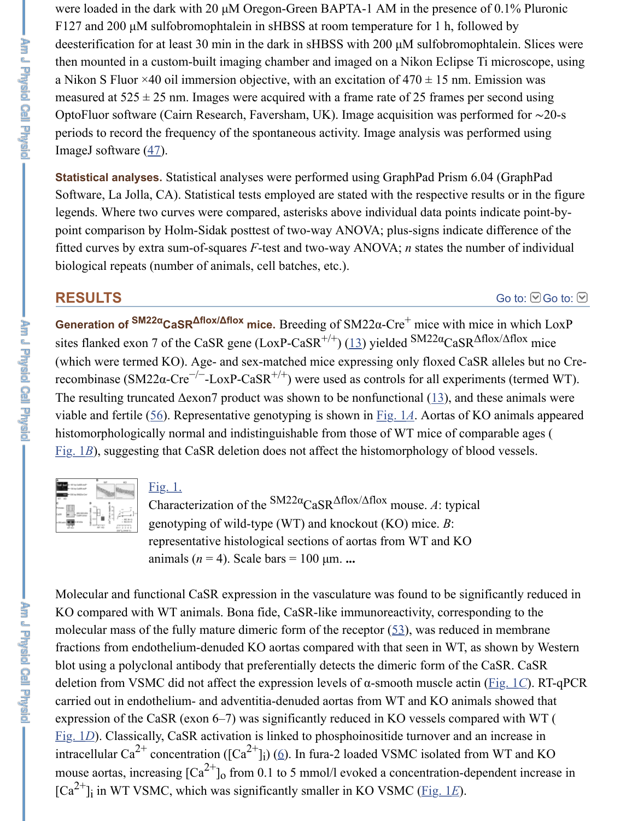were loaded in the dark with 20  $\mu$ M Oregon-Green BAPTA-1 AM in the presence of 0.1% Pluronic F127 and 200 µM sulfobromophtalein in sHBSS at room temperature for 1 h, followed by deesterification for at least 30 min in the dark in sHBSS with 200 µM sulfobromophtalein. Slices were then mounted in a custom-built imaging chamber and imaged on a Nikon Eclipse Ti microscope, using a Nikon S Fluor  $\times$ 40 oil immersion objective, with an excitation of 470  $\pm$  15 nm. Emission was measured at  $525 \pm 25$  nm. Images were acquired with a frame rate of 25 frames per second using OptoFluor software (Cairn Research, Faversham, UK). Image acquisition was performed for ∼20-s periods to record the frequency of the spontaneous activity. Image analysis was performed using ImageJ software  $(47)$  $(47)$ .

Statistical analyses. Statistical analyses were performed using GraphPad Prism 6.04 (GraphPad Software, La Jolla, CA). Statistical tests employed are stated with the respective results or in the figure legends. Where two curves were compared, asterisks above individual data points indicate point-bypoint comparison by Holm-Sidak posttest of two-way ANOVA; plus-signs indicate difference of the fitted curves by extra sum-of-squares *F*-test and two-way ANOVA; *n* states the number of individual biological repeats (number of animals, cell batches, etc.).

### **RESULTS**

[Go to:](https://www.ncbi.nlm.nih.gov/pmc/articles/PMC5243220/#)  $\odot$  Go to:  $\odot$ 

**Generation of SM22αCaSR<sup>Δflox/Δflox</sup> mice.** Breeding of SM22α-Cre<sup>+</sup> mice with mice in which LoxP sites flanked exon 7 of the CaSR gene (LoxP-CaSR<sup>+/+</sup>) ([13\)](https://www.ncbi.nlm.nih.gov/pmc/articles/PMC5243220/#B13) yielded  $\frac{SM22\alpha}{CaSR}\Delta f \frac{1}{\alpha}$  mice (which were termed KO). Age- and sex-matched mice expressing only floxed CaSR alleles but no Crerecombinase (SM22α-Cre<sup>-/-</sup>-LoxP-CaSR<sup>+/+</sup>) were used as controls for all experiments (termed WT). The resulting truncated  $\Delta$ exon7 product was shown to be nonfunctional ([13\)](https://www.ncbi.nlm.nih.gov/pmc/articles/PMC5243220/#B13), and these animals were viable and fertile ([56\)](https://www.ncbi.nlm.nih.gov/pmc/articles/PMC5243220/#B56). Representative genotyping is shown in [Fig. 1](https://www.ncbi.nlm.nih.gov/pmc/articles/PMC5243220/figure/F1/)*A*. Aortas of KO animals appeared histomorphologically normal and indistinguishable from those of WT mice of comparable ages ( [Fig. 1](https://www.ncbi.nlm.nih.gov/pmc/articles/PMC5243220/figure/F1/)B), suggesting that CaSR deletion does not affect the histomorphology of blood vessels.

| 11 |   |  |
|----|---|--|
|    |   |  |
|    | ٠ |  |

### [Fig. 1.](https://www.ncbi.nlm.nih.gov/pmc/articles/PMC5243220/figure/F1/)

Characterization of the  $\text{SM22}\alpha_{\text{Cas}}\Delta\text{flox}/\Delta\text{flox}$  mouse. A: typical genotyping of wild-type (WT) and knockout (KO) mice. *B*: representative histological sections of aortas from WT and KO animals  $(n = 4)$ . Scale bars = 100  $\mu$ m.  $\ldots$ 

Molecular and functional CaSR expression in the vasculature was found to be significantly reduced in KO compared with WT animals. Bona fide, CaSR-like immunoreactivity, corresponding to the molecular mass of the fully mature dimeric form of the receptor  $(53)$  $(53)$ , was reduced in membrane fractions from endothelium-denuded KO aortas compared with that seen in WT, as shown by Western blot using a polyclonal antibody that preferentially detects the dimeric form of the CaSR. CaSR deletion from VSMC did not affect the expression levels of α-smooth muscle actin ([Fig. 1](https://www.ncbi.nlm.nih.gov/pmc/articles/PMC5243220/figure/F1/)*C*). RT-qPCR carried out in endothelium- and adventitia-denuded aortas from WT and KO animals showed that expression of the CaSR (exon 6–7) was significantly reduced in KO vessels compared with WT ( [Fig. 1](https://www.ncbi.nlm.nih.gov/pmc/articles/PMC5243220/figure/F1/)D). Classically, CaSR activation is linked to phosphoinositide turnover and an increase in intracellular Ca<sup>2+</sup> concentration ([Ca<sup>2+</sup>]<sub>i</sub>) [\(6](https://www.ncbi.nlm.nih.gov/pmc/articles/PMC5243220/#B6)). In fura-2 loaded VSMC isolated from WT and KO mouse aortas, increasing  $\left[\text{Ca}^{2+}\right]_0$  from 0.1 to 5 mmol/l evoked a concentration-dependent increase in  $[Ca^{2+}]\$ i in WT VSMC, which was significantly smaller in KO VSMC ([Fig. 1](https://www.ncbi.nlm.nih.gov/pmc/articles/PMC5243220/figure/F1/)*E*). i o i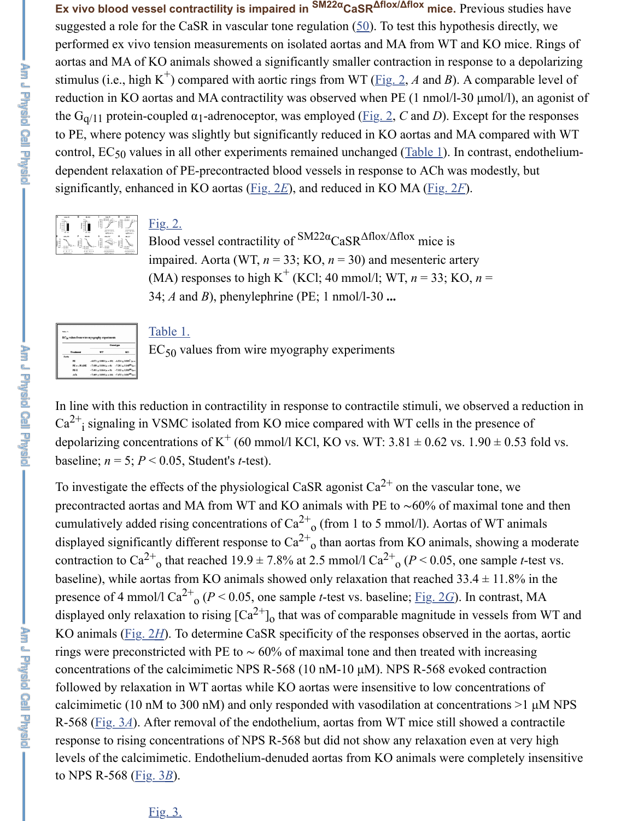**Ex vivo blood vessel contractility is impaired in <sup>SM22α</sup>CaSR<sup>Δflox/Δflox</sup> mice. Previous studies have** suggested a role for the CaSR in vascular tone regulation  $(50)$  $(50)$ . To test this hypothesis directly, we performed ex vivo tension measurements on isolated aortas and MA from WT and KO mice. Rings of aortas and MA of KO animals showed a significantly smaller contraction in response to a depolarizing stimulus (i.e., high K<sup>+</sup>) compared with aortic rings from WT ( $\underline{Fig. 2}$ , *A* and *B*). A comparable level of reduction in KO aortas and MA contractility was observed when PE (1 nmol/l-30 µmol/l), an agonist of the G<sub>q/11</sub> protein-coupled  $\alpha_1$ -adrenoceptor, was employed [\(Fig. 2,](https://www.ncbi.nlm.nih.gov/pmc/articles/PMC5243220/figure/F2/) C and D). Except for the responses to PE, where potency was slightly but significantly reduced in KO aortas and MA compared with WT control,  $EC_{50}$  values in all other experiments remained unchanged ( $Table 1$ ). In contrast, endotheliumdependent relaxation of PE-precontracted blood vessels in response to ACh was modestly, but significantly, enhanced in KO aortas [\(Fig. 2](https://www.ncbi.nlm.nih.gov/pmc/articles/PMC5243220/figure/F2/)*E*), and reduced in KO MA [\(Fig. 2](https://www.ncbi.nlm.nih.gov/pmc/articles/PMC5243220/figure/F2/)*F*).



### [Fig. 2.](https://www.ncbi.nlm.nih.gov/pmc/articles/PMC5243220/figure/F2/)

Blood vessel contractility of  $\frac{SM22\alpha}{CaSR}$   $\triangle$ flox/ $\triangle$ flox mice is impaired. Aorta (WT,  $n = 33$ ; KO,  $n = 30$ ) and mesenteric artery (MA) responses to high K<sup>+</sup> (KCl; 40 mmol/l; WT,  $n = 33$ ; KO,  $n =$ 34; *A* and *B*), phenylephrine (PE; 1 nmol/l-30 **...**

| Toble 1.<br>EC <sub>50</sub> values from wire myography experiments |                  |                                                                   |    |  |
|---------------------------------------------------------------------|------------------|-------------------------------------------------------------------|----|--|
| Genatius                                                            |                  |                                                                   |    |  |
|                                                                     | <b>Treatment</b> | WT                                                                | KO |  |
| Aerta                                                               |                  |                                                                   |    |  |
|                                                                     | PE.              | $-6.871 \pm 0.083$ (a = 19) $-6.534 \pm 0.093$ <sup>2</sup> (a =  |    |  |
|                                                                     | PE + L-NAME      | $-7.450 \pm 0.106$ (n = 6) $-7.281 \pm 0.145^{46}$ (n =           |    |  |
|                                                                     | PE-H             | $-7.491 \pm 0.164 (n = 9) -7.353 \pm 0.303^{36} (n =$             |    |  |
|                                                                     | AO <sub>b</sub>  | $-7.469 \pm 0.095$ (a = 14) $-7.475 \pm 0.067$ <sup>88</sup> (a = |    |  |

#### [Table 1.](https://www.ncbi.nlm.nih.gov/pmc/articles/PMC5243220/table/T1/)

 $EC_{50}$  values from wire myography experiments

In line with this reduction in contractility in response to contractile stimuli, we observed a reduction in  $Ca^{2+}$ ; signaling in VSMC isolated from KO mice compared with WT cells in the presence of depolarizing concentrations of K<sup>+</sup> (60 mmol/l KCl, KO vs. WT: 3.81  $\pm$  0.62 vs. 1.90  $\pm$  0.53 fold vs. baseline;  $n = 5$ ;  $P < 0.05$ , Student's *t*-test). i

To investigate the effects of the physiological CaSR agonist  $Ca^{2+}$  on the vascular tone, we precontracted aortas and MA from WT and KO animals with PE to ∼60% of maximal tone and then cumulatively added rising concentrations of  $Ca^{2+}$ <sub>0</sub> (from 1 to 5 mmol/l). Aortas of WT animals displayed significantly different response to  $Ca^{2+}$ <sub>o</sub> than aortas from KO animals, showing a moderate contraction to  $Ca^{2+}$ <sub>o</sub> that reached 19.9  $\pm$  7.8% at 2.5 mmol/l  $Ca^{2+}$ <sub>0</sub> ( $P$  < 0.05, one sample *t*-test vs. baseline), while aortas from KO animals showed only relaxation that reached  $33.4 \pm 11.8\%$  in the presence of 4 mmol/l  $Ca^{2+}$ <sub>0</sub> ( $P < 0.05$ , one sample *t*-test vs. baseline; <u>[Fig. 2](https://www.ncbi.nlm.nih.gov/pmc/articles/PMC5243220/figure/F2/)*G*</u>). In contrast, MA displayed only relaxation to rising  $[Ca^{2+}]_0$  that was of comparable magnitude in vessels from WT and KO animals ([Fig. 2](https://www.ncbi.nlm.nih.gov/pmc/articles/PMC5243220/figure/F2/)*H*). To determine CaSR specificity of the responses observed in the aortas, aortic rings were preconstricted with PE to  $\sim 60\%$  of maximal tone and then treated with increasing concentrations of the calcimimetic NPS R-568 (10 nM-10  $\mu$ M). NPS R-568 evoked contraction followed by relaxation in WT aortas while KO aortas were insensitive to low concentrations of calcimimetic (10 nM to 300 nM) and only responded with vasodilation at concentrations  $>1 \mu M NPS$ R-568 [\(Fig. 3](https://www.ncbi.nlm.nih.gov/pmc/articles/PMC5243220/figure/F3/)*A*). After removal of the endothelium, aortas from WT mice still showed a contractile response to rising concentrations of NPS R-568 but did not show any relaxation even at very high levels of the calcimimetic. Endothelium-denuded aortas from KO animals were completely insensitive to NPS R-568 ([Fig. 3](https://www.ncbi.nlm.nih.gov/pmc/articles/PMC5243220/figure/F3/)*B*). o o o 2+ o o o

### [Fig. 3.](https://www.ncbi.nlm.nih.gov/pmc/articles/PMC5243220/figure/F3/)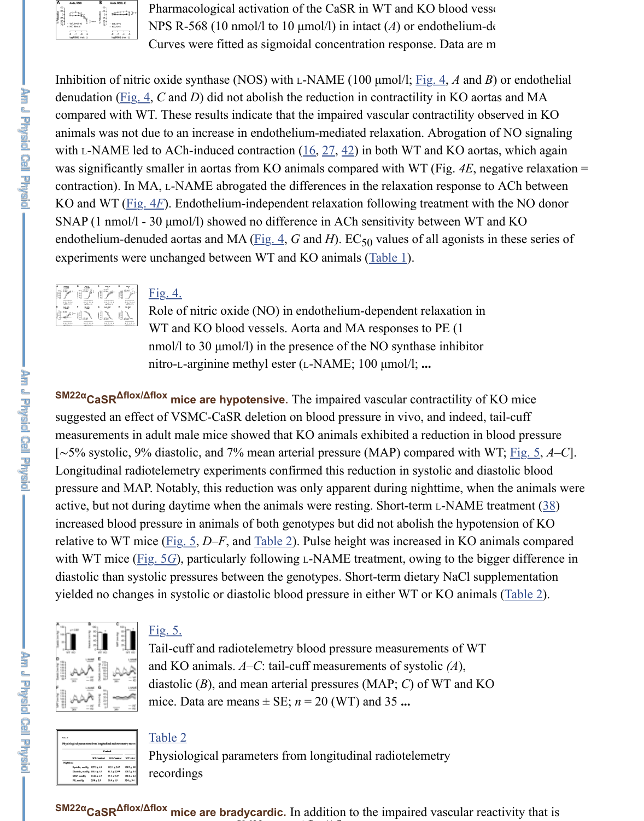

Pharmacological activation of the CaSR in WT and KO blood vessels. NPS R-568 (10 nmol/l to 10  $\mu$ mol/l) in intact (*A*) or endothelium-dentity Curves were fitted as sigmoidal concentration response. Data are m

Inhibition of nitric oxide synthase (NOS) with L-NAME (100 µmol/l; [Fig. 4,](https://www.ncbi.nlm.nih.gov/pmc/articles/PMC5243220/figure/F4/) *A* and *B*) or endothelial denudation [\(Fig. 4,](https://www.ncbi.nlm.nih.gov/pmc/articles/PMC5243220/figure/F4/) *C* and *D*) did not abolish the reduction in contractility in KO aortas and MA compared with WT. These results indicate that the impaired vascular contractility observed in KO animals was not due to an increase in endothelium-mediated relaxation. Abrogation of NO signaling with L-NAME led to ACh-induced contraction  $(16, 27, 42)$  $(16, 27, 42)$  $(16, 27, 42)$  $(16, 27, 42)$  $(16, 27, 42)$  $(16, 27, 42)$  in both WT and KO aortas, which again was significantly smaller in aortas from KO animals compared with WT (Fig. *4E*, negative relaxation = contraction). In MA, L-NAME abrogated the differences in the relaxation response to ACh between KO and WT ([Fig. 4](https://www.ncbi.nlm.nih.gov/pmc/articles/PMC5243220/figure/F4/)*F*). Endothelium-independent relaxation following treatment with the NO donor SNAP (1 nmol/l - 30 µmol/l) showed no difference in ACh sensitivity between WT and KO endothelium-denuded aortas and MA ( $\underline{Fig. 4}$  $\underline{Fig. 4}$  $\underline{Fig. 4}$ , *G* and *H*).  $EC_{50}$  values of all agonists in these series of experiments were unchanged between WT and KO animals ([Table 1\)](https://www.ncbi.nlm.nih.gov/pmc/articles/PMC5243220/table/T1/).



### [Fig. 4.](https://www.ncbi.nlm.nih.gov/pmc/articles/PMC5243220/figure/F4/)

Role of nitric oxide (NO) in endothelium-dependent relaxation in WT and KO blood vessels. Aorta and MA responses to PE (1 nmol/l to 30  $\mu$ mol/l) in the presence of the NO synthase inhibitor nitro-L-arginine methyl ester (L-NAME; 100 µmol/l; **...**

**SM22α** CaSR<sup>Δflox/Δflox mice are hypotensive. The impaired vascular contractility of KO mice</sup> suggested an effect of VSMC-CaSR deletion on blood pressure in vivo, and indeed, tail-cuff measurements in adult male mice showed that KO animals exhibited a reduction in blood pressure [∼5% systolic, 9% diastolic, and 7% mean arterial pressure (MAP) compared with WT; [Fig. 5](https://www.ncbi.nlm.nih.gov/pmc/articles/PMC5243220/figure/F5/), *A*–*C*]. Longitudinal radiotelemetry experiments confirmed this reduction in systolic and diastolic blood pressure and MAP. Notably, this reduction was only apparent during nighttime, when the animals were active, but not during daytime when the animals were resting. Short-term L-NAME treatment  $(38)$  $(38)$ increased blood pressure in animals of both genotypes but did not abolish the hypotension of KO relative to WT mice [\(Fig. 5,](https://www.ncbi.nlm.nih.gov/pmc/articles/PMC5243220/figure/F5/) *D*–*F*, and [Table 2](https://www.ncbi.nlm.nih.gov/pmc/articles/PMC5243220/table/T2/)). Pulse height was increased in KO animals compared with WT mice (*Fig. 5G*), particularly following L-NAME treatment, owing to the bigger difference in diastolic than systolic pressures between the genotypes. Short-term dietary NaCl supplementation yielded no changes in systolic or diastolic blood pressure in either WT or KO animals [\(Table 2](https://www.ncbi.nlm.nih.gov/pmc/articles/PMC5243220/table/T2/)).



# [Fig. 5.](https://www.ncbi.nlm.nih.gov/pmc/articles/PMC5243220/figure/F5/)

Tail-cuff and radiotelemetry blood pressure measurements of WT and KO animals. *A*–*C*: tail-cuff measurements of systolic *(A*), diastolic (*B*), and mean arterial pressures (MAP; *C*) of WT and KO mice. Data are means  $\pm$  SE;  $n = 20$  (WT) and 35 ...

| table 2 | Physiological parameters from longitudinal radiotelemetry recor-<br>Nighttime | <b>WT Control</b> | Control<br><b>KO</b> Centrol | <b>WTL-NA</b> |
|---------|-------------------------------------------------------------------------------|-------------------|------------------------------|---------------|
|         |                                                                               |                   |                              |               |
|         |                                                                               |                   |                              |               |
|         |                                                                               |                   |                              |               |
|         |                                                                               |                   |                              |               |
|         |                                                                               |                   |                              |               |
|         |                                                                               |                   |                              |               |

 $97.3 \pm 2.4^{\circ}$ <br>30.8  $\pm 1.5$ 

### [Table 2](https://www.ncbi.nlm.nih.gov/pmc/articles/PMC5243220/table/T2/)

Physiological parameters from longitudinal radiotelemetry recordings

**SM22α** CaSR<sup>Δflox/Δflox mice are bradycardic. In addition to the impaired vascular reactivity that is</sup>  $\mathbb{R}$  and  $\mathbb{R}$  and  $\mathbb{R}$  and  $\mathbb{R}$  and  $\mathbb{R}$  and  $\mathbb{R}$  and  $\mathbb{R}$  and  $\mathbb{R}$  and  $\mathbb{R}$  and  $\mathbb{R}$  and  $\mathbb{R}$  and  $\mathbb{R}$  and  $\mathbb{R}$  and  $\mathbb{R}$  and  $\mathbb{R}$  and  $\mathbb{R}$  and  $\mathbb{R}$  and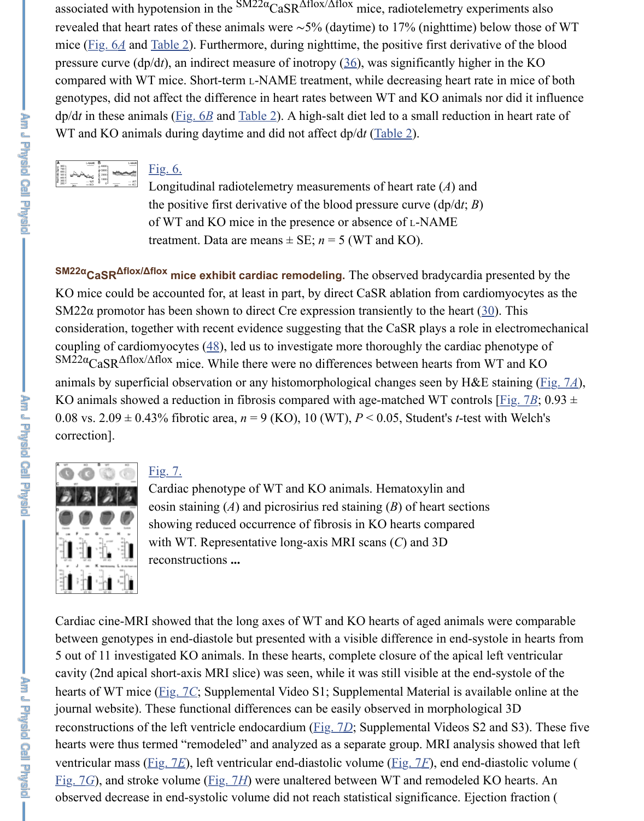associated with hypotension in the  $\text{SM22}\alpha \text{CasR}^{\Delta flox/\Delta flox}$  mice, radiotelemetry experiments also revealed that heart rates of these animals were ∼5% (daytime) to 17% (nighttime) below those of WT mice [\(Fig. 6](https://www.ncbi.nlm.nih.gov/pmc/articles/PMC5243220/figure/F6/)*A* and [Table 2\)](https://www.ncbi.nlm.nih.gov/pmc/articles/PMC5243220/table/T2/). Furthermore, during nighttime, the positive first derivative of the blood pressure curve (dp/d*t*), an indirect measure of inotropy [\(36](https://www.ncbi.nlm.nih.gov/pmc/articles/PMC5243220/#B36)), was significantly higher in the KO compared with WT mice. Short-term L-NAME treatment, while decreasing heart rate in mice of both genotypes, did not affect the difference in heart rates between WT and KO animals nor did it influence dp/d*t* in these animals [\(Fig. 6](https://www.ncbi.nlm.nih.gov/pmc/articles/PMC5243220/figure/F6/)*B* and [Table 2\)](https://www.ncbi.nlm.nih.gov/pmc/articles/PMC5243220/table/T2/). A high-salt diet led to a small reduction in heart rate of WT and KO animals during daytime and did not affect dp/d*t* ([Table 2](https://www.ncbi.nlm.nih.gov/pmc/articles/PMC5243220/table/T2/)).

|        | LAMAR        |              | L-NAM         |  |
|--------|--------------|--------------|---------------|--|
| ۵<br>ŧ |              | 3000<br>2005 |               |  |
| 200    | WT<br>$-$ KO | o-           | w<br>KO<br>мh |  |

Fig.  $6.$ 

Longitudinal radiotelemetry measurements of heart rate (*A*) and the positive first derivative of the blood pressure curve (dp/d*t*; *B*) of WT and KO mice in the presence or absence of L-NAME treatment. Data are means  $\pm$  SE;  $n = 5$  (WT and KO).

**SM22α CaSR<sup>Δflox/Δflox mice exhibit cardiac remodeling.** The observed bradycardia presented by the</sup> KO mice could be accounted for, at least in part, by direct CaSR ablation from cardiomyocytes as the SM22 $\alpha$  promotor has been shown to direct Cre expression transiently to the heart [\(30](https://www.ncbi.nlm.nih.gov/pmc/articles/PMC5243220/#B30)). This consideration, together with recent evidence suggesting that the CaSR plays a role in electromechanical coupling of cardiomyocytes  $(48)$  $(48)$ , led us to investigate more thoroughly the cardiac phenotype of  $\text{SM22}\alpha_{\text{CasR}}\Delta\text{float/}\Delta\text{float}$  mice. While there were no differences between hearts from WT and KO animals by superficial observation or any histomorphological changes seen by H&E staining [\(Fig. 7](https://www.ncbi.nlm.nih.gov/pmc/articles/PMC5243220/figure/F7/)*A*), KO animals showed a reduction in fibrosis compared with age-matched WT controls [\[Fig. 7](https://www.ncbi.nlm.nih.gov/pmc/articles/PMC5243220/figure/F7/)*B*; 0.93  $\pm$ 0.08 vs.  $2.09 \pm 0.43\%$  fibrotic area,  $n = 9$  (KO), 10 (WT),  $P < 0.05$ , Student's *t*-test with Welch's correction].



# [Fig. 7.](https://www.ncbi.nlm.nih.gov/pmc/articles/PMC5243220/figure/F7/)

Cardiac phenotype of WT and KO animals. Hematoxylin and eosin staining (*A*) and picrosirius red staining (*B*) of heart sections showing reduced occurrence of fibrosis in KO hearts compared with WT. Representative long-axis MRI scans (*C*) and 3D reconstructions **...**

Cardiac cine-MRI showed that the long axes of WT and KO hearts of aged animals were comparable between genotypes in end-diastole but presented with a visible difference in end-systole in hearts from 5 out of 11 investigated KO animals. In these hearts, complete closure of the apical left ventricular cavity (2nd apical short-axis MRI slice) was seen, while it was still visible at the end-systole of the hearts of WT mice [\(Fig. 7](https://www.ncbi.nlm.nih.gov/pmc/articles/PMC5243220/figure/F7/)*C*; Supplemental Video S1; Supplemental Material is available online at the journal website). These functional differences can be easily observed in morphological 3D reconstructions of the left ventricle endocardium ([Fig. 7](https://www.ncbi.nlm.nih.gov/pmc/articles/PMC5243220/figure/F7/)*D*; Supplemental Videos S2 and S3). These five hearts were thus termed "remodeled" and analyzed as a separate group. MRI analysis showed that left ventricular mass [\(Fig. 7](https://www.ncbi.nlm.nih.gov/pmc/articles/PMC5243220/figure/F7/)*E*), left ventricular end-diastolic volume [\(Fig. 7](https://www.ncbi.nlm.nih.gov/pmc/articles/PMC5243220/figure/F7/)*F*), end end-diastolic volume ( [Fig. 7](https://www.ncbi.nlm.nih.gov/pmc/articles/PMC5243220/figure/F7/)*G*), and stroke volume ([Fig. 7](https://www.ncbi.nlm.nih.gov/pmc/articles/PMC5243220/figure/F7/)*H*) were unaltered between WT and remodeled KO hearts. An observed decrease in end-systolic volume did not reach statistical significance. Ejection fraction (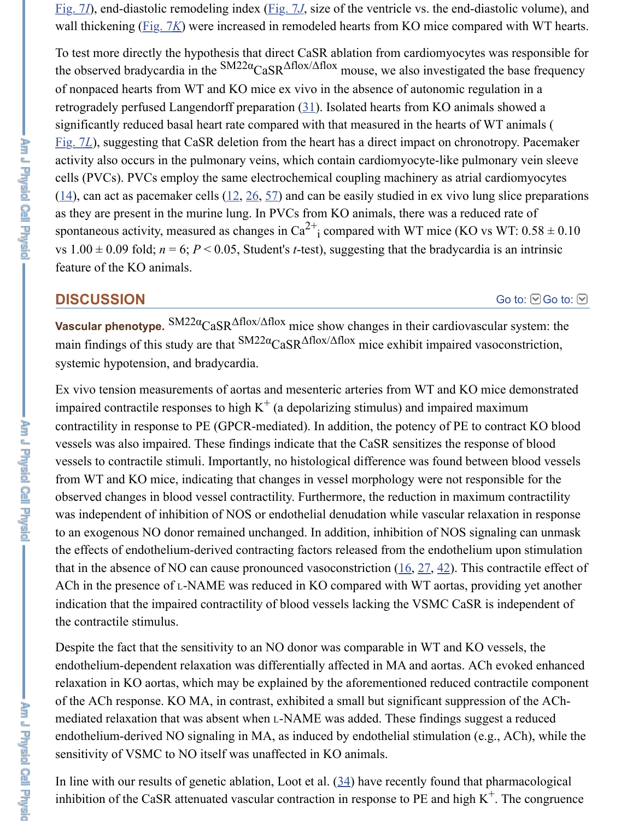[Fig. 7](https://www.ncbi.nlm.nih.gov/pmc/articles/PMC5243220/figure/F7/)*I*), end-diastolic remodeling index [\(Fig. 7](https://www.ncbi.nlm.nih.gov/pmc/articles/PMC5243220/figure/F7/)*J*, size of the ventricle vs. the end-diastolic volume), and wall thickening [\(Fig. 7](https://www.ncbi.nlm.nih.gov/pmc/articles/PMC5243220/figure/F7/)*K*) were increased in remodeled hearts from KO mice compared with WT hearts.

To test more directly the hypothesis that direct CaSR ablation from cardiomyocytes was responsible for the observed bradycardia in the  $\text{SM22}\alpha_{\text{CasR}}$   $\Delta$ flox/ $\Delta$ flox mouse, we also investigated the base frequency of nonpaced hearts from WT and KO mice ex vivo in the absence of autonomic regulation in a retrogradely perfused Langendorff preparation ([31\)](https://www.ncbi.nlm.nih.gov/pmc/articles/PMC5243220/#B31). Isolated hearts from KO animals showed a significantly reduced basal heart rate compared with that measured in the hearts of WT animals ( [Fig. 7](https://www.ncbi.nlm.nih.gov/pmc/articles/PMC5243220/figure/F7/)*L*), suggesting that CaSR deletion from the heart has a direct impact on chronotropy. Pacemaker activity also occurs in the pulmonary veins, which contain cardiomyocyte-like pulmonary vein sleeve cells (PVCs). PVCs employ the same electrochemical coupling machinery as atrial cardiomyocytes  $(14)$  $(14)$ , can act as pacemaker cells  $(12, 26, 57)$  $(12, 26, 57)$  $(12, 26, 57)$  $(12, 26, 57)$  $(12, 26, 57)$  $(12, 26, 57)$  and can be easily studied in ex vivo lung slice preparations as they are present in the murine lung. In PVCs from KO animals, there was a reduced rate of spontaneous activity, measured as changes in  $Ca^{2+}$  compared with WT mice (KO vs WT: 0.58  $\pm$  0.10 vs  $1.00 \pm 0.09$  fold;  $n = 6$ ;  $P < 0.05$ , Student's *t*-test), suggesting that the bradycardia is an intrinsic feature of the KO animals. i

#### **DISCUSSION**

#### [Go to:](https://www.ncbi.nlm.nih.gov/pmc/articles/PMC5243220/#)  $\Theta$  Go to:  $\Theta$

**Vascular phenotype.**  $\text{SM22}\alpha_{\text{CasR}}\Delta\text{flox}/\Delta\text{flox}$  mice show changes in their cardiovascular system: the main findings of this study are that  $\frac{SM22\alpha}{CaSR}$   $\triangle$  flox/ $\triangle$  flox mice exhibit impaired vasoconstriction, systemic hypotension, and bradycardia.

Ex vivo tension measurements of aortas and mesenteric arteries from WT and KO mice demonstrated impaired contractile responses to high  $K^+$  (a depolarizing stimulus) and impaired maximum contractility in response to PE (GPCR-mediated). In addition, the potency of PE to contract KO blood vessels was also impaired. These findings indicate that the CaSR sensitizes the response of blood vessels to contractile stimuli. Importantly, no histological difference was found between blood vessels from WT and KO mice, indicating that changes in vessel morphology were not responsible for the observed changes in blood vessel contractility. Furthermore, the reduction in maximum contractility was independent of inhibition of NOS or endothelial denudation while vascular relaxation in response to an exogenous NO donor remained unchanged. In addition, inhibition of NOS signaling can unmask the effects of endothelium-derived contracting factors released from the endothelium upon stimulation that in the absence of NO can cause pronounced vasoconstriction  $(16, 27, 42)$  $(16, 27, 42)$  $(16, 27, 42)$  $(16, 27, 42)$  $(16, 27, 42)$  $(16, 27, 42)$ . This contractile effect of ACh in the presence of L-NAME was reduced in KO compared with WT aortas, providing yet another indication that the impaired contractility of blood vessels lacking the VSMC CaSR is independent of the contractile stimulus.

Despite the fact that the sensitivity to an NO donor was comparable in WT and KO vessels, the endothelium-dependent relaxation was differentially affected in MA and aortas. ACh evoked enhanced relaxation in KO aortas, which may be explained by the aforementioned reduced contractile component of the ACh response. KO MA, in contrast, exhibited a small but significant suppression of the AChmediated relaxation that was absent when L-NAME was added. These findings suggest a reduced endothelium-derived NO signaling in MA, as induced by endothelial stimulation (e.g., ACh), while the sensitivity of VSMC to NO itself was unaffected in KO animals.

In line with our results of genetic ablation, Loot et al. [\(34](https://www.ncbi.nlm.nih.gov/pmc/articles/PMC5243220/#B34)) have recently found that pharmacological inhibition of the CaSR attenuated vascular contraction in response to PE and high  $K^+$ . The congruence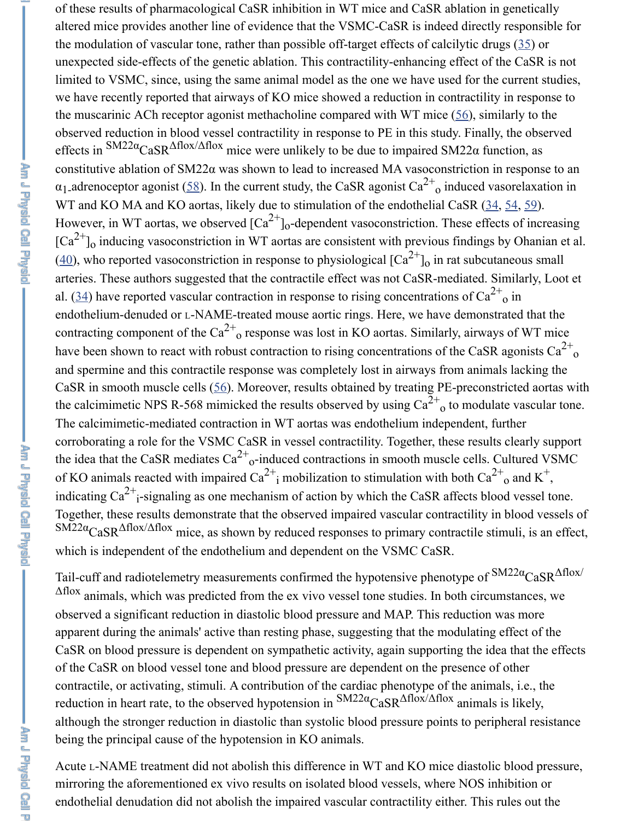of these results of pharmacological CaSR inhibition in WT mice and CaSR ablation in genetically altered mice provides another line of evidence that the VSMC-CaSR is indeed directly responsible for the modulation of vascular tone, rather than possible off-target effects of calcilytic drugs ([35\)](https://www.ncbi.nlm.nih.gov/pmc/articles/PMC5243220/#B35) or unexpected side-effects of the genetic ablation. This contractility-enhancing effect of the CaSR is not limited to VSMC, since, using the same animal model as the one we have used for the current studies, we have recently reported that airways of KO mice showed a reduction in contractility in response to the muscarinic ACh receptor agonist methacholine compared with WT mice [\(56](https://www.ncbi.nlm.nih.gov/pmc/articles/PMC5243220/#B56)), similarly to the observed reduction in blood vessel contractility in response to PE in this study. Finally, the observed effects in  $\text{SM22}\alpha_{\text{Cas}}\Delta\text{flox}/\Delta\text{flox}$  mice were unlikely to be due to impaired SM22 $\alpha$  function, as constitutive ablation of SM22α was shown to lead to increased MA vasoconstriction in response to an  $\alpha_1$  adrenoceptor agonist ([58\)](https://www.ncbi.nlm.nih.gov/pmc/articles/PMC5243220/#B58). In the current study, the CaSR agonist Ca<sup>2+</sup><sub>0</sub> induced vasorelaxation in WT and KO MA and KO aortas, likely due to stimulation of the endothelial CaSR ([34,](https://www.ncbi.nlm.nih.gov/pmc/articles/PMC5243220/#B34) [54,](https://www.ncbi.nlm.nih.gov/pmc/articles/PMC5243220/#B54) [59\)](https://www.ncbi.nlm.nih.gov/pmc/articles/PMC5243220/#B59). However, in WT aortas, we observed  $\left[\text{Ca}^{2+}\right]_0$ -dependent vasoconstriction. These effects of increasing  ${[Ca}^{2+}]_0$  inducing vasoconstriction in WT aortas are consistent with previous findings by Ohanian et al.  $(40)$  $(40)$ , who reported vasoconstriction in response to physiological  ${[Ca}^{2+}]_0$  in rat subcutaneous small arteries. These authors suggested that the contractile effect was not CaSR-mediated. Similarly, Loot et al. ([34\)](https://www.ncbi.nlm.nih.gov/pmc/articles/PMC5243220/#B34) have reported vascular contraction in response to rising concentrations of  $Ca^{2+}$ <sub>0</sub> in endothelium-denuded or L-NAME-treated mouse aortic rings. Here, we have demonstrated that the contracting component of the Ca<sup>2+</sup><sub>o</sub> response was lost in KO aortas. Similarly, airways of WT mice have been shown to react with robust contraction to rising concentrations of the CaSR agonists  $Ca^{2+}$ and spermine and this contractile response was completely lost in airways from animals lacking the CaSR in smooth muscle cells ([56\)](https://www.ncbi.nlm.nih.gov/pmc/articles/PMC5243220/#B56). Moreover, results obtained by treating PE-preconstricted aortas with the calcimimetic NPS R-568 mimicked the results observed by using  $Ca^{2+}$ <sub>0</sub> to modulate vascular tone. The calcimimetic-mediated contraction in WT aortas was endothelium independent, further corroborating a role for the VSMC CaSR in vessel contractility. Together, these results clearly support the idea that the CaSR mediates  $Ca^{2+}$ <sub>o</sub>-induced contractions in smooth muscle cells. Cultured VSMC of KO animals reacted with impaired Ca<sup>2+</sup><sub>i</sub> mobilization to stimulation with both Ca<sup>2+</sup><sub>o</sub> and K<sup>+</sup>, indicating Ca<sup>2+</sup><sub>i</sub>-signaling as one mechanism of action by which the CaSR affects blood vessel tone. Together, these results demonstrate that the observed impaired vascular contractility in blood vessels of  $\text{SM22}\alpha_{\text{CasR}}\Delta\text{flox}/\Delta\text{flox}$  mice, as shown by reduced responses to primary contractile stimuli, is an effect, which is independent of the endothelium and dependent on the VSMC CaSR. 2+ o o o o o o o o o i 2+ o + i

Tail-cuff and radiotelemetry measurements confirmed the hypotensive phenotype of  $\text{SM22a}_{\text{CasR}}$  $\Delta \text{flow}$  $\Delta$ flox animals, which was predicted from the ex vivo vessel tone studies. In both circumstances, we observed a significant reduction in diastolic blood pressure and MAP. This reduction was more apparent during the animals' active than resting phase, suggesting that the modulating effect of the CaSR on blood pressure is dependent on sympathetic activity, again supporting the idea that the effects of the CaSR on blood vessel tone and blood pressure are dependent on the presence of other contractile, or activating, stimuli. A contribution of the cardiac phenotype of the animals, i.e., the reduction in heart rate, to the observed hypotension in  $\text{SM22}\alpha_{\text{CasR}}\Delta\text{flox}/\Delta\text{flox}$  animals is likely, although the stronger reduction in diastolic than systolic blood pressure points to peripheral resistance being the principal cause of the hypotension in KO animals.

Acute L-NAME treatment did not abolish this difference in WT and KO mice diastolic blood pressure, mirroring the aforementioned ex vivo results on isolated blood vessels, where NOS inhibition or endothelial denudation did not abolish the impaired vascular contractility either. This rules out the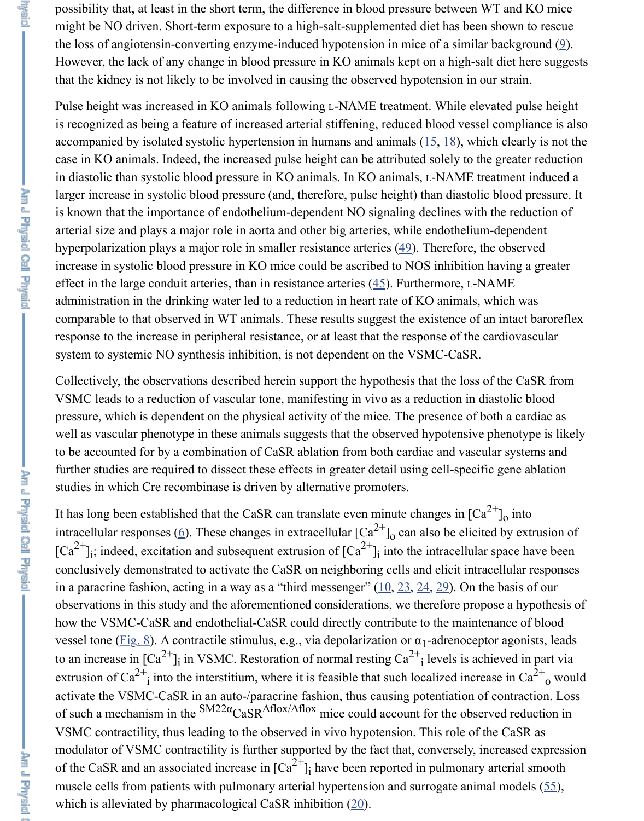possibility that, at least in the short term, the difference in blood pressure between WT and KO mice might be NO driven. Short-term exposure to a high-salt-supplemented diet has been shown to rescue the loss of angiotensin-converting enzyme-induced hypotension in mice of a similar background [\(9](https://www.ncbi.nlm.nih.gov/pmc/articles/PMC5243220/#B9)). However, the lack of any change in blood pressure in KO animals kept on a high-salt diet here suggests that the kidney is not likely to be involved in causing the observed hypotension in our strain.

Pulse height was increased in KO animals following L-NAME treatment. While elevated pulse height is recognized as being a feature of increased arterial stiffening, reduced blood vessel compliance is also accompanied by isolated systolic hypertension in humans and animals  $(15, 18)$  $(15, 18)$  $(15, 18)$  $(15, 18)$ , which clearly is not the case in KO animals. Indeed, the increased pulse height can be attributed solely to the greater reduction in diastolic than systolic blood pressure in KO animals. In KO animals, L-NAME treatment induced a larger increase in systolic blood pressure (and, therefore, pulse height) than diastolic blood pressure. It is known that the importance of endothelium-dependent NO signaling declines with the reduction of arterial size and plays a major role in aorta and other big arteries, while endothelium-dependent hyperpolarization plays a major role in smaller resistance arteries ([49\)](https://www.ncbi.nlm.nih.gov/pmc/articles/PMC5243220/#B49). Therefore, the observed increase in systolic blood pressure in KO mice could be ascribed to NOS inhibition having a greater effect in the large conduit arteries, than in resistance arteries  $(45)$  $(45)$ . Furthermore, L-NAME administration in the drinking water led to a reduction in heart rate of KO animals, which was comparable to that observed in WT animals. These results suggest the existence of an intact baroreflex response to the increase in peripheral resistance, or at least that the response of the cardiovascular system to systemic NO synthesis inhibition, is not dependent on the VSMC-CaSR.

Collectively, the observations described herein support the hypothesis that the loss of the CaSR from VSMC leads to a reduction of vascular tone, manifesting in vivo as a reduction in diastolic blood pressure, which is dependent on the physical activity of the mice. The presence of both a cardiac as well as vascular phenotype in these animals suggests that the observed hypotensive phenotype is likely to be accounted for by a combination of CaSR ablation from both cardiac and vascular systems and further studies are required to dissect these effects in greater detail using cell-specific gene ablation studies in which Cre recombinase is driven by alternative promoters.

It has long been established that the CaSR can translate even minute changes in  $\lbrack Ca^{2+}\rbrack_0$  into intracellular responses ([6\)](https://www.ncbi.nlm.nih.gov/pmc/articles/PMC5243220/#B6). These changes in extracellular  $\left[Ca^{2+}\right]_0$  can also be elicited by extrusion of  $[Ca^{2+}]\$ ; indeed, excitation and subsequent extrusion of  $[Ca^{2+}]\$  into the intracellular space have been conclusively demonstrated to activate the CaSR on neighboring cells and elicit intracellular responses in a paracrine fashion, acting in a way as a "third messenger" ([10,](https://www.ncbi.nlm.nih.gov/pmc/articles/PMC5243220/#B10) [23,](https://www.ncbi.nlm.nih.gov/pmc/articles/PMC5243220/#B23) [24,](https://www.ncbi.nlm.nih.gov/pmc/articles/PMC5243220/#B24) [29\)](https://www.ncbi.nlm.nih.gov/pmc/articles/PMC5243220/#B29). On the basis of our observations in this study and the aforementioned considerations, we therefore propose a hypothesis of how the VSMC-CaSR and endothelial-CaSR could directly contribute to the maintenance of blood vessel tone ([Fig. 8](https://www.ncbi.nlm.nih.gov/pmc/articles/PMC5243220/figure/F8/)). A contractile stimulus, e.g., via depolarization or  $\alpha_1$ -adrenoceptor agonists, leads to an increase in  $[\text{Ca}^{2+}]_i$  in VSMC. Restoration of normal resting  $\text{Ca}^{2+}$  levels is achieved in part via extrusion of Ca<sup>2+</sup><sub>i</sub> into the interstitium, where it is feasible that such localized increase in Ca<sup>2+</sup><sub>o</sub> would activate the VSMC-CaSR in an auto-/paracrine fashion, thus causing potentiation of contraction. Loss of such a mechanism in the  $\text{SM22}\alpha_{\text{Cas}}\Delta\text{flox}/\Delta\text{flox}$  mice could account for the observed reduction in VSMC contractility, thus leading to the observed in vivo hypotension. This role of the CaSR as modulator of VSMC contractility is further supported by the fact that, conversely, increased expression of the CaSR and an associated increase in  $\left[\text{Ca}^{2+}\right]_i$  have been reported in pulmonary arterial smooth muscle cells from patients with pulmonary arterial hypertension and surrogate animal models ([55\)](https://www.ncbi.nlm.nih.gov/pmc/articles/PMC5243220/#B55), which is alleviated by pharmacological CaSR inhibition  $(20)$  $(20)$ . o o i 2+ i i 2+ i i 2+ o i

**Algebral**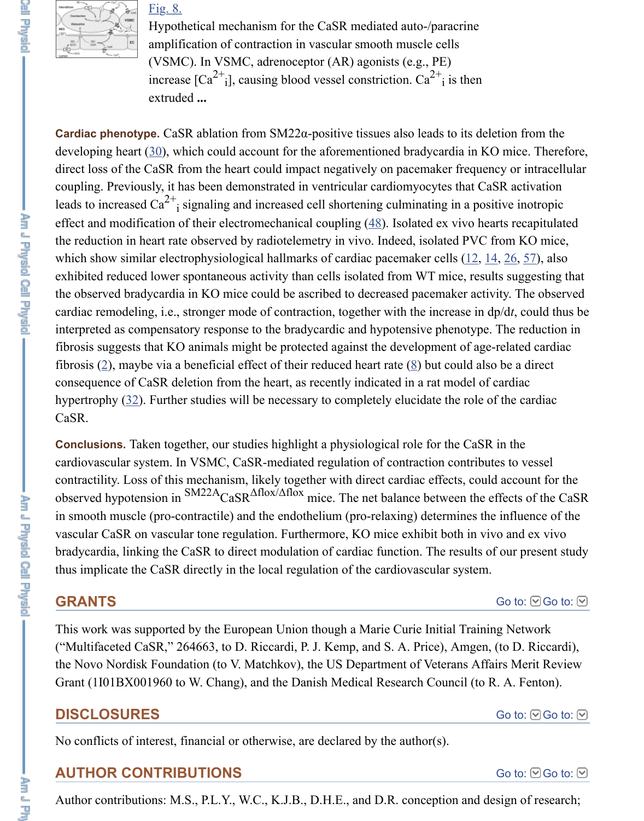

### [Fig. 8.](https://www.ncbi.nlm.nih.gov/pmc/articles/PMC5243220/figure/F8/)

Hypothetical mechanism for the CaSR mediated auto-/paracrine amplification of contraction in vascular smooth muscle cells (VSMC). In VSMC, adrenoceptor (AR) agonists (e.g., PE) increase  $\left[Ca^{2+}i\right]$ , causing blood vessel constriction.  $Ca^{2+}i$  is then extruded **...** i 2+ i

**Cardiac phenotype.** CaSR ablation from SM22α-positive tissues also leads to its deletion from the developing heart [\(30](https://www.ncbi.nlm.nih.gov/pmc/articles/PMC5243220/#B30)), which could account for the aforementioned bradycardia in KO mice. Therefore, direct loss of the CaSR from the heart could impact negatively on pacemaker frequency or intracellular coupling. Previously, it has been demonstrated in ventricular cardiomyocytes that CaSR activation leads to increased Ca<sup>2+</sup><sub>i</sub> signaling and increased cell shortening culminating in a positive inotropic effect and modification of their electromechanical coupling  $(48)$  $(48)$ . Isolated ex vivo hearts recapitulated the reduction in heart rate observed by radiotelemetry in vivo. Indeed, isolated PVC from KO mice, which show similar electrophysiological hallmarks of cardiac pacemaker cells  $(12, 14, 26, 57)$  $(12, 14, 26, 57)$  $(12, 14, 26, 57)$  $(12, 14, 26, 57)$  $(12, 14, 26, 57)$  $(12, 14, 26, 57)$  $(12, 14, 26, 57)$  $(12, 14, 26, 57)$ , also exhibited reduced lower spontaneous activity than cells isolated from WT mice, results suggesting that the observed bradycardia in KO mice could be ascribed to decreased pacemaker activity. The observed cardiac remodeling, i.e., stronger mode of contraction, together with the increase in dp/d*t*, could thus be interpreted as compensatory response to the bradycardic and hypotensive phenotype. The reduction in fibrosis suggests that KO animals might be protected against the development of age-related cardiac fibrosis  $(2)$  $(2)$ , maybe via a beneficial effect of their reduced heart rate  $(8)$  $(8)$  but could also be a direct consequence of CaSR deletion from the heart, as recently indicated in a rat model of cardiac hypertrophy [\(32](https://www.ncbi.nlm.nih.gov/pmc/articles/PMC5243220/#B32)). Further studies will be necessary to completely elucidate the role of the cardiac CaSR. i

**Conclusions.** Taken together, our studies highlight a physiological role for the CaSR in the cardiovascular system. In VSMC, CaSR-mediated regulation of contraction contributes to vessel contractility. Loss of this mechanism, likely together with direct cardiac effects, could account for the observed hypotension in  $\text{SM22A}_{\text{CaSR}}$   $\Delta \text{flow}$  mice. The net balance between the effects of the CaSR in smooth muscle (pro-contractile) and the endothelium (pro-relaxing) determines the influence of the vascular CaSR on vascular tone regulation. Furthermore, KO mice exhibit both in vivo and ex vivo bradycardia, linking the CaSR to direct modulation of cardiac function. The results of our present study thus implicate the CaSR directly in the local regulation of the cardiovascular system.

### **GRANTS**

[Go to:](https://www.ncbi.nlm.nih.gov/pmc/articles/PMC5243220/#)  $\bigcirc$  Go to:  $\bigcirc$ 

This work was supported by the European Union though a Marie Curie Initial Training Network ("Multifaceted CaSR," 264663, to D. Riccardi, P. J. Kemp, and S. A. Price), Amgen, (to D. Riccardi), the Novo Nordisk Foundation (to V. Matchkov), the US Department of Veterans Affairs Merit Review Grant (1I01BX001960 to W. Chang), and the Danish Medical Research Council (to R. A. Fenton).

# **DISCLOSURES**

No conflicts of interest, financial or otherwise, are declared by the author(s).

# **AUTHOR CONTRIBUTIONS**

[Go to:](https://www.ncbi.nlm.nih.gov/pmc/articles/PMC5243220/#)  $\bigcirc$  Go to:  $\bigcirc$ 

[Go to:](https://www.ncbi.nlm.nih.gov/pmc/articles/PMC5243220/#) **⊙**Go to: **⊙** 

Author contributions: M.S., P.L.Y., W.C., K.J.B., D.H.E., and D.R. conception and design of research;

É. ᇻ

**And I division can be a limited to the limits of the limits**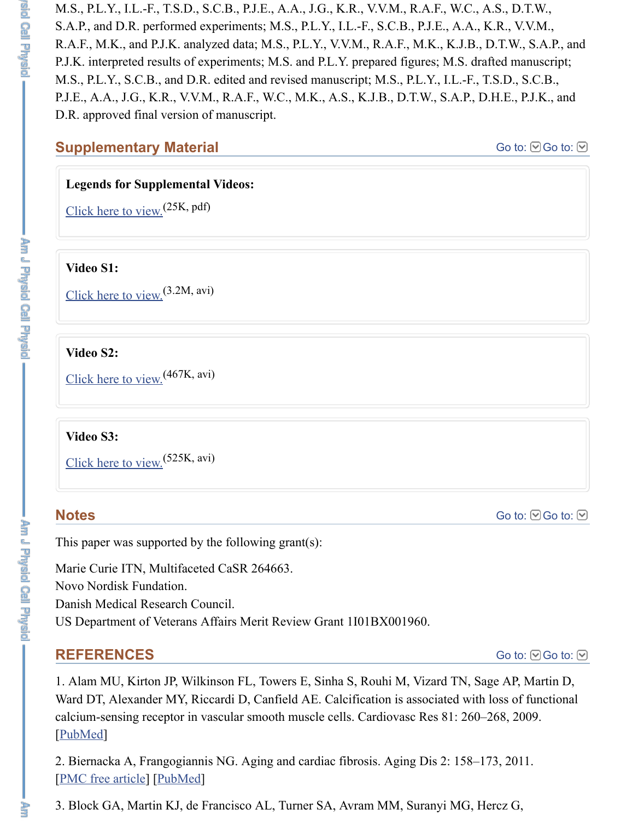M.S., P.L.Y., I.L.-F., T.S.D., S.C.B., P.J.E., A.A., J.G., K.R., V.V.M., R.A.F., W.C., A.S., D.T.W., S.A.P., and D.R. performed experiments; M.S., P.L.Y., I.L.-F., S.C.B., P.J.E., A.A., K.R., V.V.M., R.A.F., M.K., and P.J.K. analyzed data; M.S., P.L.Y., V.V.M., R.A.F., M.K., K.J.B., D.T.W., S.A.P., and P.J.K. interpreted results of experiments; M.S. and P.L.Y. prepared figures; M.S. drafted manuscript; M.S., P.L.Y., S.C.B., and D.R. edited and revised manuscript; M.S., P.L.Y., I.L.-F., T.S.D., S.C.B., P.J.E., A.A., J.G., K.R., V.V.M., R.A.F., W.C., M.K., A.S., K.J.B., D.T.W., S.A.P., D.H.E., P.J.K., and D.R. approved final version of manuscript.

### **Supplementary Material**

[Go to:](https://www.ncbi.nlm.nih.gov/pmc/articles/PMC5243220/#) **©** Go to: **⊙** 

### **Legends for Supplemental Videos:**

[Click here to view.](https://www.ncbi.nlm.nih.gov/pmc/articles/PMC5243220/bin/legends.pdf)<sup>(25K, pdf)</sup>

### **Video S1:**

[Click here to view.](https://www.ncbi.nlm.nih.gov/pmc/articles/PMC5243220/bin/Video_S1.avi) (3.2M, avi)

#### **Video S2:**

[Click here to view.](https://www.ncbi.nlm.nih.gov/pmc/articles/PMC5243220/bin/Video_S2.avi) (467K, avi)

### **Video S3:**

[Click here to view.](https://www.ncbi.nlm.nih.gov/pmc/articles/PMC5243220/bin/Video_S3.avi)<sup>(525K, avi)</sup>

# **Notes**

[Go to:](https://www.ncbi.nlm.nih.gov/pmc/articles/PMC5243220/#) **©** Go to: **⊙** 

This paper was supported by the following grant(s):

Marie Curie ITN, Multifaceted CaSR 264663. Novo Nordisk Fundation. Danish Medical Research Council. US Department of Veterans Affairs Merit Review Grant 1I01BX001960.

# **REFERENCES**

[Go to:](https://www.ncbi.nlm.nih.gov/pmc/articles/PMC5243220/#)  $\bigcirc$  Go to:  $\odot$ 

1. Alam MU, Kirton JP, Wilkinson FL, Towers E, Sinha S, Rouhi M, Vizard TN, Sage AP, Martin D, Ward DT, Alexander MY, Riccardi D, Canfield AE. Calcification is associated with loss of functional calcium-sensing receptor in vascular smooth muscle cells. Cardiovasc Res 81: 260–268, 2009. [\[PubMed](https://www.ncbi.nlm.nih.gov/pubmed/18852253)]

2. Biernacka A, Frangogiannis NG. Aging and cardiac fibrosis. Aging Dis 2: 158–173, 2011. [\[PMC free article\]](https://www.ncbi.nlm.nih.gov/pmc/articles/PMC3153299/) [\[PubMed\]](https://www.ncbi.nlm.nih.gov/pubmed/21837283)

3. Block GA, Martin KJ, de Francisco AL, Turner SA, Avram MM, Suranyi MG, Hercz G,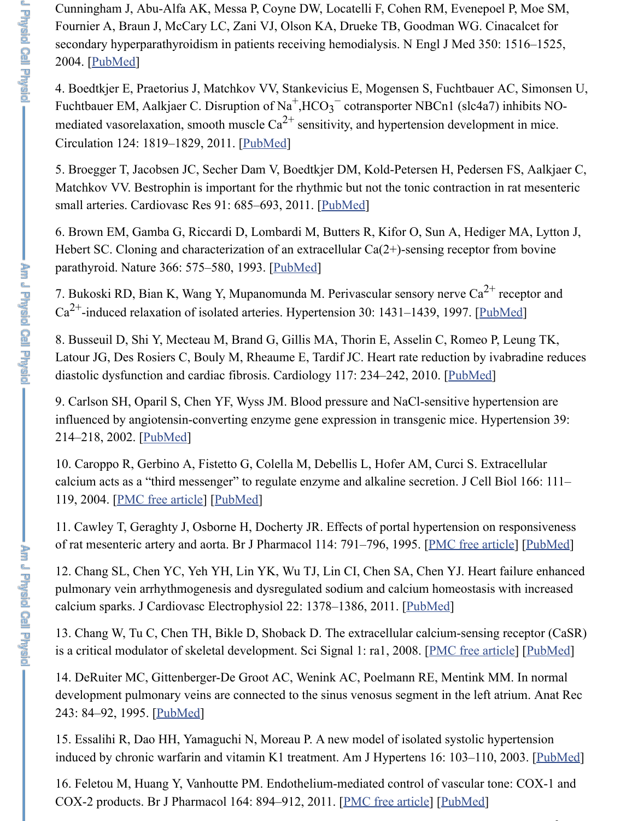Cunningham J, Abu-Alfa AK, Messa P, Coyne DW, Locatelli F, Cohen RM, Evenepoel P, Moe SM, Fournier A, Braun J, McCary LC, Zani VJ, Olson KA, Drueke TB, Goodman WG. Cinacalcet for secondary hyperparathyroidism in patients receiving hemodialysis. N Engl J Med 350: 1516–1525, 2004. [\[PubMed](https://www.ncbi.nlm.nih.gov/pubmed/15071126)]

4. Boedtkjer E, Praetorius J, Matchkov VV, Stankevicius E, Mogensen S, Fuchtbauer AC, Simonsen U, Fuchtbauer EM, Aalkjaer C. Disruption of Na<sup>+</sup>,HCO<sub>3</sub><sup>-</sup> cotransporter NBCn1 (slc4a7) inhibits NOmediated vasorelaxation, smooth muscle  $Ca^{2+}$  sensitivity, and hypertension development in mice. Circulation 124: 1819–1829, 2011. [[PubMed](https://www.ncbi.nlm.nih.gov/pubmed/21947296)] 3 −

5. Broegger T, Jacobsen JC, Secher Dam V, Boedtkjer DM, Kold-Petersen H, Pedersen FS, Aalkjaer C, Matchkov VV. Bestrophin is important for the rhythmic but not the tonic contraction in rat mesenteric small arteries. Cardiovasc Res 91: 685–693, 2011. [[PubMed\]](https://www.ncbi.nlm.nih.gov/pubmed/21498420)

6. Brown EM, Gamba G, Riccardi D, Lombardi M, Butters R, Kifor O, Sun A, Hediger MA, Lytton J, Hebert SC. Cloning and characterization of an extracellular Ca(2+)-sensing receptor from bovine parathyroid. Nature 366: 575–580, 1993. [[PubMed](https://www.ncbi.nlm.nih.gov/pubmed/8255296)]

7. Bukoski RD, Bian K, Wang Y, Mupanomunda M. Perivascular sensory nerve  $Ca^{2+}$  receptor and  $Ca^{2+}$ -induced relaxation of isolated arteries. Hypertension 30: 1431–1439, 1997. [[PubMed\]](https://www.ncbi.nlm.nih.gov/pubmed/9403564)

8. Busseuil D, Shi Y, Mecteau M, Brand G, Gillis MA, Thorin E, Asselin C, Romeo P, Leung TK, Latour JG, Des Rosiers C, Bouly M, Rheaume E, Tardif JC. Heart rate reduction by ivabradine reduces diastolic dysfunction and cardiac fibrosis. Cardiology 117: 234–242, 2010. [[PubMed](https://www.ncbi.nlm.nih.gov/pubmed/21212673)]

9. Carlson SH, Oparil S, Chen YF, Wyss JM. Blood pressure and NaCl-sensitive hypertension are influenced by angiotensin-converting enzyme gene expression in transgenic mice. Hypertension 39: 214–218, 2002. [\[PubMed](https://www.ncbi.nlm.nih.gov/pubmed/11847186)]

10. Caroppo R, Gerbino A, Fistetto G, Colella M, Debellis L, Hofer AM, Curci S. Extracellular calcium acts as a "third messenger" to regulate enzyme and alkaline secretion. J Cell Biol 166: 111– 119, 2004. [[PMC free article](https://www.ncbi.nlm.nih.gov/pmc/articles/PMC2172151/)] [[PubMed](https://www.ncbi.nlm.nih.gov/pubmed/15240573)]

11. Cawley T, Geraghty J, Osborne H, Docherty JR. Effects of portal hypertension on responsiveness of rat mesenteric artery and aorta. Br J Pharmacol 114: 791–796, 1995. [\[PMC free article](https://www.ncbi.nlm.nih.gov/pmc/articles/PMC1510215/)] [[PubMed](https://www.ncbi.nlm.nih.gov/pubmed/7773539)]

12. Chang SL, Chen YC, Yeh YH, Lin YK, Wu TJ, Lin CI, Chen SA, Chen YJ. Heart failure enhanced pulmonary vein arrhythmogenesis and dysregulated sodium and calcium homeostasis with increased calcium sparks. J Cardiovasc Electrophysiol 22: 1378–1386, 2011. [[PubMed](https://www.ncbi.nlm.nih.gov/pubmed/21992547)]

13. Chang W, Tu C, Chen TH, Bikle D, Shoback D. The extracellular calcium-sensing receptor (CaSR) is a critical modulator of skeletal development. Sci Signal 1: ra1, 2008. [\[PMC free article\]](https://www.ncbi.nlm.nih.gov/pmc/articles/PMC3538864/) [\[PubMed\]](https://www.ncbi.nlm.nih.gov/pubmed/18765830)

14. DeRuiter MC, Gittenberger-De Groot AC, Wenink AC, Poelmann RE, Mentink MM. In normal development pulmonary veins are connected to the sinus venosus segment in the left atrium. Anat Rec 243: 84–92, 1995. [**PubMed**]

15. Essalihi R, Dao HH, Yamaguchi N, Moreau P. A new model of isolated systolic hypertension induced by chronic warfarin and vitamin K1 treatment. Am J Hypertens 16: 103-110, 2003. [[PubMed\]](https://www.ncbi.nlm.nih.gov/pubmed/12559675)

16. Feletou M, Huang Y, Vanhoutte PM. Endothelium-mediated control of vascular tone: COX-1 and COX-2 products. Br J Pharmacol 164: 894–912, 2011. [[PMC free article](https://www.ncbi.nlm.nih.gov/pmc/articles/PMC3195913/)] [\[PubMed](https://www.ncbi.nlm.nih.gov/pubmed/21323907)]

2+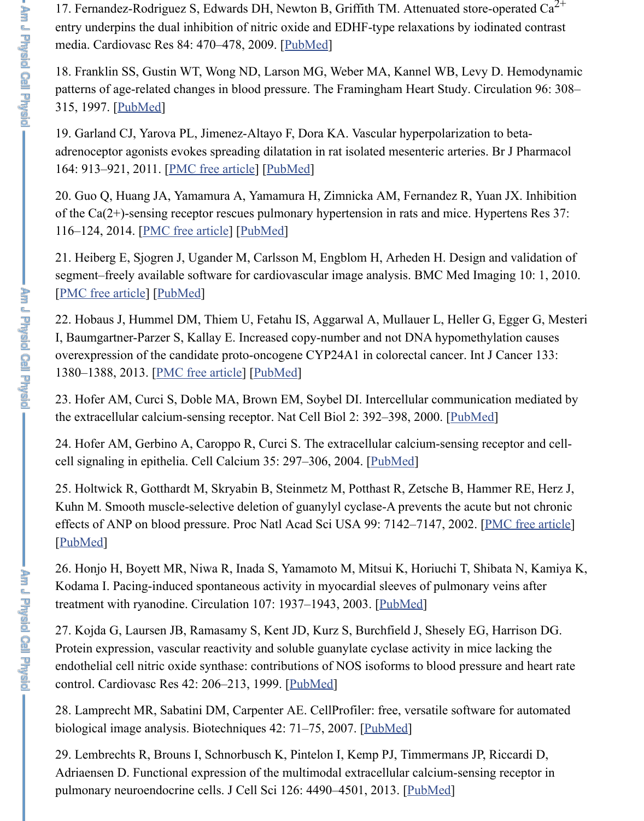17. Fernandez-Rodriguez S, Edwards DH, Newton B, Griffith TM. Attenuated store-operated  $Ca^{2+}$ entry underpins the dual inhibition of nitric oxide and EDHF-type relaxations by iodinated contrast media. Cardiovasc Res 84: 470–478, 2009. [[PubMed\]](https://www.ncbi.nlm.nih.gov/pubmed/19592569)

18. Franklin SS, Gustin WT, Wong ND, Larson MG, Weber MA, Kannel WB, Levy D. Hemodynamic patterns of age-related changes in blood pressure. The Framingham Heart Study. Circulation 96: 308– 315, 1997. [\[PubMed](https://www.ncbi.nlm.nih.gov/pubmed/9236450)]

19. Garland CJ, Yarova PL, Jimenez-Altayo F, Dora KA. Vascular hyperpolarization to betaadrenoceptor agonists evokes spreading dilatation in rat isolated mesenteric arteries. Br J Pharmacol 164: 913–921, 2011. [[PMC free article\]](https://www.ncbi.nlm.nih.gov/pmc/articles/PMC3195914/) [\[PubMed](https://www.ncbi.nlm.nih.gov/pubmed/21244369)]

20. Guo Q, Huang JA, Yamamura A, Yamamura H, Zimnicka AM, Fernandez R, Yuan JX. Inhibition of the Ca(2+)-sensing receptor rescues pulmonary hypertension in rats and mice. Hypertens Res 37: 116–124, 2014. [[PMC free article](https://www.ncbi.nlm.nih.gov/pmc/articles/PMC5524516/)] [[PubMed](https://www.ncbi.nlm.nih.gov/pubmed/24089267)]

21. Heiberg E, Sjogren J, Ugander M, Carlsson M, Engblom H, Arheden H. Design and validation of segment–freely available software for cardiovascular image analysis. BMC Med Imaging 10: 1, 2010. [\[PMC free article\]](https://www.ncbi.nlm.nih.gov/pmc/articles/PMC2822815/) [\[PubMed\]](https://www.ncbi.nlm.nih.gov/pubmed/20064248)

22. Hobaus J, Hummel DM, Thiem U, Fetahu IS, Aggarwal A, Mullauer L, Heller G, Egger G, Mesteri I, Baumgartner-Parzer S, Kallay E. Increased copy-number and not DNA hypomethylation causes overexpression of the candidate proto-oncogene CYP24A1 in colorectal cancer. Int J Cancer 133: 1380–1388, 2013. [\[PMC free article\]](https://www.ncbi.nlm.nih.gov/pmc/articles/PMC3807607/) [\[PubMed\]](https://www.ncbi.nlm.nih.gov/pubmed/23463632)

23. Hofer AM, Curci S, Doble MA, Brown EM, Soybel DI. Intercellular communication mediated by the extracellular calcium-sensing receptor. Nat Cell Biol 2: 392-398, 2000. [[PubMed\]](https://www.ncbi.nlm.nih.gov/pubmed/10878803)

24. Hofer AM, Gerbino A, Caroppo R, Curci S. The extracellular calcium-sensing receptor and cellcell signaling in epithelia. Cell Calcium 35: 297–306, 2004. [[PubMed\]](https://www.ncbi.nlm.nih.gov/pubmed/15200154)

25. Holtwick R, Gotthardt M, Skryabin B, Steinmetz M, Potthast R, Zetsche B, Hammer RE, Herz J, Kuhn M. Smooth muscle-selective deletion of guanylyl cyclase-A prevents the acute but not chronic effects of ANP on blood pressure. Proc Natl Acad Sci USA 99: 7142–7147, 2002. [\[PMC free article](https://www.ncbi.nlm.nih.gov/pmc/articles/PMC124542/)] [\[PubMed](https://www.ncbi.nlm.nih.gov/pubmed/11997476)]

26. Honjo H, Boyett MR, Niwa R, Inada S, Yamamoto M, Mitsui K, Horiuchi T, Shibata N, Kamiya K, Kodama I. Pacing-induced spontaneous activity in myocardial sleeves of pulmonary veins after treatment with ryanodine. Circulation 107: 1937-1943, 2003. [\[PubMed\]](https://www.ncbi.nlm.nih.gov/pubmed/12668519)

27. Kojda G, Laursen JB, Ramasamy S, Kent JD, Kurz S, Burchfield J, Shesely EG, Harrison DG. Protein expression, vascular reactivity and soluble guanylate cyclase activity in mice lacking the endothelial cell nitric oxide synthase: contributions of NOS isoforms to blood pressure and heart rate control. Cardiovasc Res 42: 206–213, 1999. [[PubMed](https://www.ncbi.nlm.nih.gov/pubmed/10435012)]

28. Lamprecht MR, Sabatini DM, Carpenter AE. CellProfiler: free, versatile software for automated biological image analysis. Biotechniques 42: 71–75, 2007. [[PubMed\]](https://www.ncbi.nlm.nih.gov/pubmed/17269487)

29. Lembrechts R, Brouns I, Schnorbusch K, Pintelon I, Kemp PJ, Timmermans JP, Riccardi D, Adriaensen D. Functional expression of the multimodal extracellular calcium-sensing receptor in pulmonary neuroendocrine cells. J Cell Sci 126: 4490-4501, 2013. [\[PubMed](https://www.ncbi.nlm.nih.gov/pubmed/23886943)]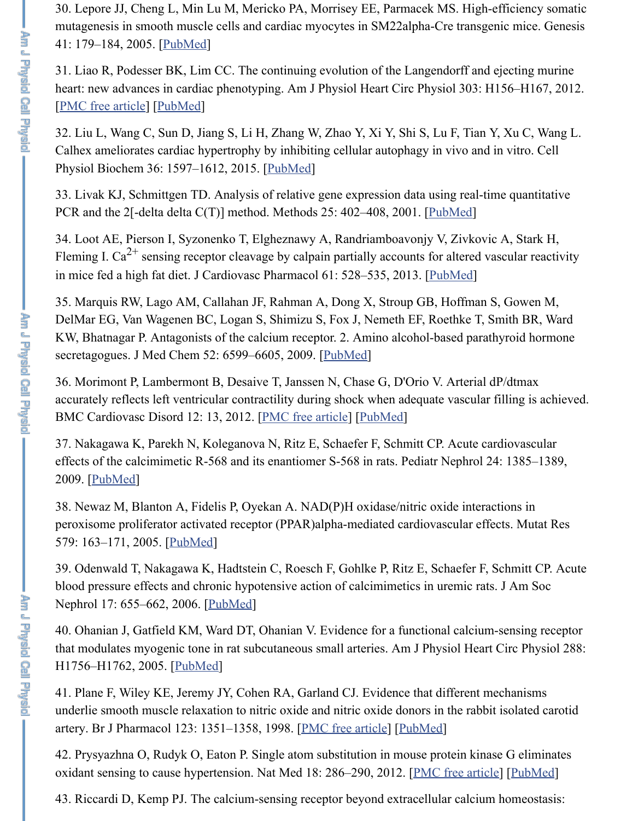30. Lepore JJ, Cheng L, Min Lu M, Mericko PA, Morrisey EE, Parmacek MS. High-efficiency somatic mutagenesis in smooth muscle cells and cardiac myocytes in SM22alpha-Cre transgenic mice. Genesis 41: 179–184, 2005. [[PubMed\]](https://www.ncbi.nlm.nih.gov/pubmed/15789423)

31. Liao R, Podesser BK, Lim CC. The continuing evolution of the Langendorff and ejecting murine heart: new advances in cardiac phenotyping. Am J Physiol Heart Circ Physiol 303: H156–H167, 2012. [\[PMC free article\]](https://www.ncbi.nlm.nih.gov/pmc/articles/PMC3404701/) [\[PubMed\]](https://www.ncbi.nlm.nih.gov/pubmed/22636675)

32. Liu L, Wang C, Sun D, Jiang S, Li H, Zhang W, Zhao Y, Xi Y, Shi S, Lu F, Tian Y, Xu C, Wang L. Calhex ameliorates cardiac hypertrophy by inhibiting cellular autophagy in vivo and in vitro. Cell Physiol Biochem 36: 1597–1612, 2015. [\[PubMed\]](https://www.ncbi.nlm.nih.gov/pubmed/26159880)

33. Livak KJ, Schmittgen TD. Analysis of relative gene expression data using real-time quantitative PCR and the 2[-delta delta C(T)] method. Methods 25: 402-408, 2001. [[PubMed\]](https://www.ncbi.nlm.nih.gov/pubmed/11846609)

34. Loot AE, Pierson I, Syzonenko T, Elgheznawy A, Randriamboavonjy V, Zivkovic A, Stark H, Fleming I. Ca<sup>2+</sup> sensing receptor cleavage by calpain partially accounts for altered vascular reactivity in mice fed a high fat diet. J Cardiovasc Pharmacol 61: 528–535, 2013. [[PubMed\]](https://www.ncbi.nlm.nih.gov/pubmed/23429586)

35. Marquis RW, Lago AM, Callahan JF, Rahman A, Dong X, Stroup GB, Hoffman S, Gowen M, DelMar EG, Van Wagenen BC, Logan S, Shimizu S, Fox J, Nemeth EF, Roethke T, Smith BR, Ward KW, Bhatnagar P. Antagonists of the calcium receptor. 2. Amino alcohol-based parathyroid hormone secretagogues. J Med Chem 52: 6599–6605, 2009. [\[PubMed](https://www.ncbi.nlm.nih.gov/pubmed/19821575)]

36. Morimont P, Lambermont B, Desaive T, Janssen N, Chase G, D'Orio V. Arterial dP/dtmax accurately reflects left ventricular contractility during shock when adequate vascular filling is achieved. BMC Cardiovasc Disord 12: 13, 2012. [[PMC free article](https://www.ncbi.nlm.nih.gov/pmc/articles/PMC3313844/)] [[PubMed](https://www.ncbi.nlm.nih.gov/pubmed/22380679)]

37. Nakagawa K, Parekh N, Koleganova N, Ritz E, Schaefer F, Schmitt CP. Acute cardiovascular effects of the calcimimetic R-568 and its enantiomer S-568 in rats. Pediatr Nephrol 24: 1385–1389, 2009. [\[PubMed](https://www.ncbi.nlm.nih.gov/pubmed/19280225)]

38. Newaz M, Blanton A, Fidelis P, Oyekan A. NAD(P)H oxidase/nitric oxide interactions in peroxisome proliferator activated receptor (PPAR)alpha-mediated cardiovascular effects. Mutat Res 579: 163-171, 2005. [[PubMed\]](https://www.ncbi.nlm.nih.gov/pubmed/16054168)

39. Odenwald T, Nakagawa K, Hadtstein C, Roesch F, Gohlke P, Ritz E, Schaefer F, Schmitt CP. Acute blood pressure effects and chronic hypotensive action of calcimimetics in uremic rats. J Am Soc Nephrol 17: 655–662, 2006. [[PubMed](https://www.ncbi.nlm.nih.gov/pubmed/16421225)]

40. Ohanian J, Gatfield KM, Ward DT, Ohanian V. Evidence for a functional calcium-sensing receptor that modulates myogenic tone in rat subcutaneous small arteries. Am J Physiol Heart Circ Physiol 288: H1756–H1762, 2005. [\[PubMed](https://www.ncbi.nlm.nih.gov/pubmed/15576443)]

41. Plane F, Wiley KE, Jeremy JY, Cohen RA, Garland CJ. Evidence that different mechanisms underlie smooth muscle relaxation to nitric oxide and nitric oxide donors in the rabbit isolated carotid artery. Br J Pharmacol 123: 1351–1358, 1998. [[PMC free article](https://www.ncbi.nlm.nih.gov/pmc/articles/PMC1565301/)] [[PubMed](https://www.ncbi.nlm.nih.gov/pubmed/9579730)]

42. Prysyazhna O, Rudyk O, Eaton P. Single atom substitution in mouse protein kinase G eliminates oxidant sensing to cause hypertension. Nat Med 18: 286–290, 2012. [[PMC free article](https://www.ncbi.nlm.nih.gov/pmc/articles/PMC3276848/)] [[PubMed](https://www.ncbi.nlm.nih.gov/pubmed/22245782)]

43. Riccardi D, Kemp PJ. The calcium-sensing receptor beyond extracellular calcium homeostasis: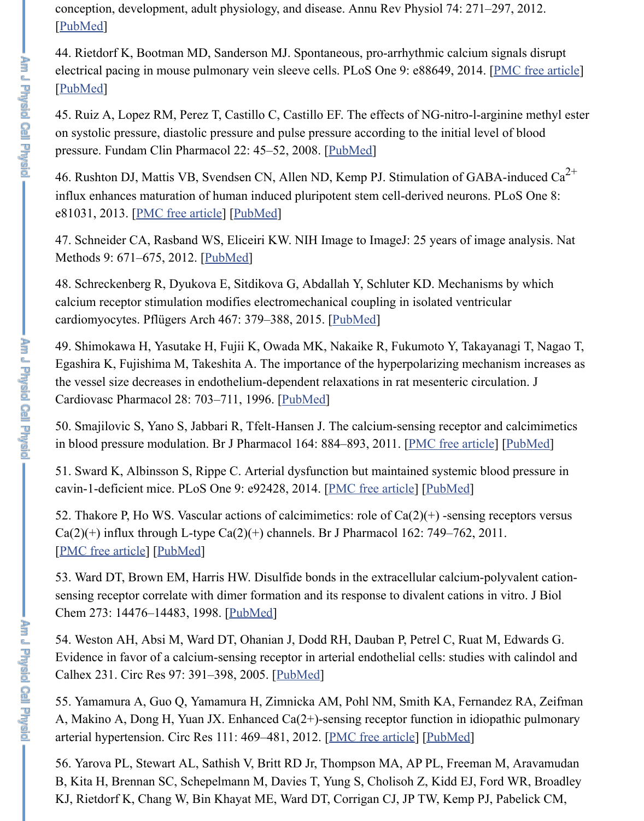conception, development, adult physiology, and disease. Annu Rev Physiol 74: 271–297, 2012. [\[PubMed](https://www.ncbi.nlm.nih.gov/pubmed/22017175)]

44. Rietdorf K, Bootman MD, Sanderson MJ. Spontaneous, pro-arrhythmic calcium signals disrupt electrical pacing in mouse pulmonary vein sleeve cells. PLoS One 9: e88649, 2014. [[PMC free article](https://www.ncbi.nlm.nih.gov/pmc/articles/PMC3930634/)] [\[PubMed](https://www.ncbi.nlm.nih.gov/pubmed/24586364)]

45. Ruiz A, Lopez RM, Perez T, Castillo C, Castillo EF. The effects of NG-nitro-l-arginine methyl ester on systolic pressure, diastolic pressure and pulse pressure according to the initial level of blood pressure. Fundam Clin Pharmacol 22: 45–52, 2008. [\[PubMed\]](https://www.ncbi.nlm.nih.gov/pubmed/18251721)

46. Rushton DJ, Mattis VB, Svendsen CN, Allen ND, Kemp PJ. Stimulation of GABA-induced  $Ca^{2+}$ influx enhances maturation of human induced pluripotent stem cell-derived neurons. PLoS One 8: e81031, 2013. [\[PMC free article\]](https://www.ncbi.nlm.nih.gov/pmc/articles/PMC3838360/) [\[PubMed\]](https://www.ncbi.nlm.nih.gov/pubmed/24278369)

47. Schneider CA, Rasband WS, Eliceiri KW. NIH Image to ImageJ: 25 years of image analysis. Nat Methods 9: 671-675, 2012. [[PubMed\]](https://www.ncbi.nlm.nih.gov/pubmed/22930834)

48. Schreckenberg R, Dyukova E, Sitdikova G, Abdallah Y, Schluter KD. Mechanisms by which calcium receptor stimulation modifies electromechanical coupling in isolated ventricular cardiomyocytes. Pflügers Arch 467: 379–388, 2015. [\[PubMed](https://www.ncbi.nlm.nih.gov/pubmed/24687204)]

49. Shimokawa H, Yasutake H, Fujii K, Owada MK, Nakaike R, Fukumoto Y, Takayanagi T, Nagao T, Egashira K, Fujishima M, Takeshita A. The importance of the hyperpolarizing mechanism increases as the vessel size decreases in endothelium-dependent relaxations in rat mesenteric circulation. J Cardiovasc Pharmacol 28: 703–711, 1996. [\[PubMed\]](https://www.ncbi.nlm.nih.gov/pubmed/8945685)

50. Smajilovic S, Yano S, Jabbari R, Tfelt-Hansen J. The calcium-sensing receptor and calcimimetics in blood pressure modulation. Br J Pharmacol 164: 884–893, 2011. [[PMC free article](https://www.ncbi.nlm.nih.gov/pmc/articles/PMC3195912/)] [[PubMed](https://www.ncbi.nlm.nih.gov/pubmed/21410453)]

51. Sward K, Albinsson S, Rippe C. Arterial dysfunction but maintained systemic blood pressure in cavin-1-deficient mice. PLoS One 9: e92428, 2014. [\[PMC free article\]](https://www.ncbi.nlm.nih.gov/pmc/articles/PMC3962402/) [[PubMed\]](https://www.ncbi.nlm.nih.gov/pubmed/24658465)

52. Thakore P, Ho WS. Vascular actions of calcimimetics: role of  $Ca(2)(+)$  -sensing receptors versus  $Ca(2)(+)$  influx through L-type  $Ca(2)(+)$  channels. Br J Pharmacol 162: 749–762, 2011. [\[PMC free article\]](https://www.ncbi.nlm.nih.gov/pmc/articles/PMC3041262/) [\[PubMed\]](https://www.ncbi.nlm.nih.gov/pubmed/20958288)

53. Ward DT, Brown EM, Harris HW. Disulfide bonds in the extracellular calcium-polyvalent cationsensing receptor correlate with dimer formation and its response to divalent cations in vitro. J Biol Chem 273: 14476–14483, 1998. [[PubMed](https://www.ncbi.nlm.nih.gov/pubmed/9603961)]

54. Weston AH, Absi M, Ward DT, Ohanian J, Dodd RH, Dauban P, Petrel C, Ruat M, Edwards G. Evidence in favor of a calcium-sensing receptor in arterial endothelial cells: studies with calindol and Calhex 231. Circ Res 97: 391–398, 2005. [\[PubMed\]](https://www.ncbi.nlm.nih.gov/pubmed/16037572)

55. Yamamura A, Guo Q, Yamamura H, Zimnicka AM, Pohl NM, Smith KA, Fernandez RA, Zeifman A, Makino A, Dong H, Yuan JX. Enhanced Ca(2+)-sensing receptor function in idiopathic pulmonary arterial hypertension. Circ Res 111: 469-481, 2012. [[PMC free article](https://www.ncbi.nlm.nih.gov/pmc/articles/PMC3695473/)] [\[PubMed](https://www.ncbi.nlm.nih.gov/pubmed/22730443)]

56. Yarova PL, Stewart AL, Sathish V, Britt RD Jr, Thompson MA, AP PL, Freeman M, Aravamudan B, Kita H, Brennan SC, Schepelmann M, Davies T, Yung S, Cholisoh Z, Kidd EJ, Ford WR, Broadley KJ, Rietdorf K, Chang W, Bin Khayat ME, Ward DT, Corrigan CJ, JP TW, Kemp PJ, Pabelick CM,